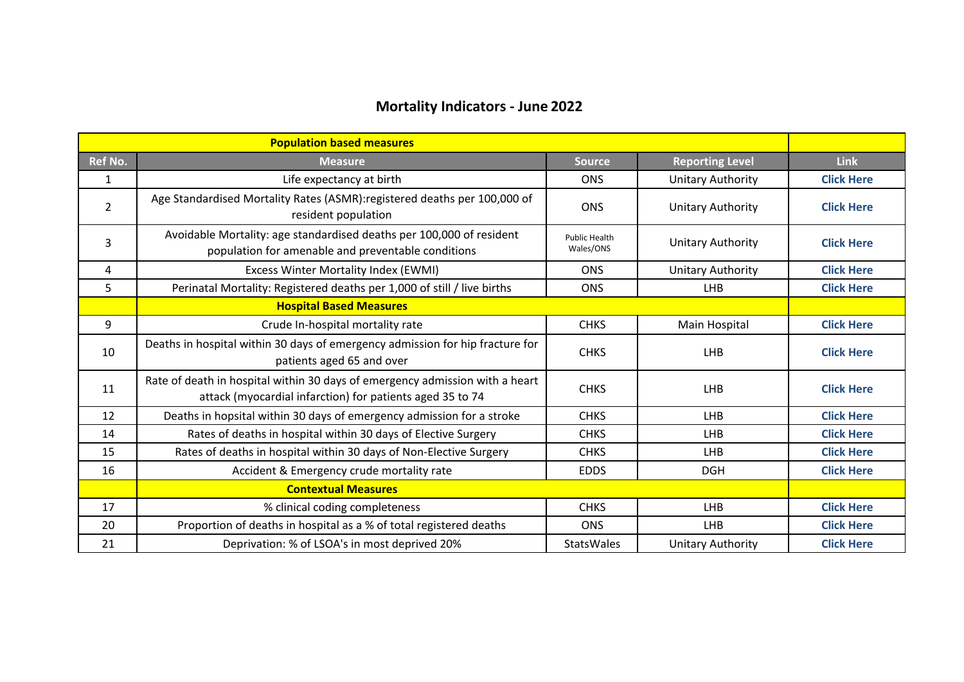## **Mortality Indicators - June 2022**

|                | <b>Population based measures</b>                                                                                                          |                                   |                          |                   |
|----------------|-------------------------------------------------------------------------------------------------------------------------------------------|-----------------------------------|--------------------------|-------------------|
| <b>Ref No.</b> | <b>Measure</b>                                                                                                                            | <b>Source</b>                     | <b>Reporting Level</b>   | <b>Link</b>       |
| $\mathbf{1}$   | Life expectancy at birth                                                                                                                  | <b>ONS</b>                        | <b>Unitary Authority</b> | <b>Click Here</b> |
| $\overline{2}$ | Age Standardised Mortality Rates (ASMR): registered deaths per 100,000 of<br>resident population                                          | <b>ONS</b>                        | <b>Unitary Authority</b> | <b>Click Here</b> |
| 3              | Avoidable Mortality: age standardised deaths per 100,000 of resident<br>population for amenable and preventable conditions                | <b>Public Health</b><br>Wales/ONS | <b>Unitary Authority</b> | <b>Click Here</b> |
| 4              | Excess Winter Mortality Index (EWMI)                                                                                                      | <b>ONS</b>                        | <b>Unitary Authority</b> | <b>Click Here</b> |
| 5              | Perinatal Mortality: Registered deaths per 1,000 of still / live births                                                                   | <b>ONS</b>                        | <b>LHB</b>               | <b>Click Here</b> |
|                | <b>Hospital Based Measures</b>                                                                                                            |                                   |                          |                   |
| 9              | Crude In-hospital mortality rate                                                                                                          | <b>CHKS</b>                       | Main Hospital            | <b>Click Here</b> |
| 10             | Deaths in hospital within 30 days of emergency admission for hip fracture for<br>patients aged 65 and over                                | <b>CHKS</b>                       | <b>LHB</b>               | <b>Click Here</b> |
| 11             | Rate of death in hospital within 30 days of emergency admission with a heart<br>attack (myocardial infarction) for patients aged 35 to 74 | <b>CHKS</b>                       | <b>LHB</b>               | <b>Click Here</b> |
| 12             | Deaths in hopsital within 30 days of emergency admission for a stroke                                                                     | <b>CHKS</b>                       | <b>LHB</b>               | <b>Click Here</b> |
| 14             | Rates of deaths in hospital within 30 days of Elective Surgery                                                                            | <b>CHKS</b>                       | <b>LHB</b>               | <b>Click Here</b> |
| 15             | Rates of deaths in hospital within 30 days of Non-Elective Surgery                                                                        | <b>CHKS</b>                       | <b>LHB</b>               | <b>Click Here</b> |
| 16             | Accident & Emergency crude mortality rate                                                                                                 | <b>EDDS</b>                       | <b>DGH</b>               | <b>Click Here</b> |
|                | <b>Contextual Measures</b>                                                                                                                |                                   |                          |                   |
| 17             | % clinical coding completeness                                                                                                            | <b>CHKS</b>                       | <b>LHB</b>               | <b>Click Here</b> |
| 20             | Proportion of deaths in hospital as a % of total registered deaths                                                                        | <b>ONS</b>                        | <b>LHB</b>               | <b>Click Here</b> |
| 21             | Deprivation: % of LSOA's in most deprived 20%                                                                                             | <b>StatsWales</b>                 | <b>Unitary Authority</b> | <b>Click Here</b> |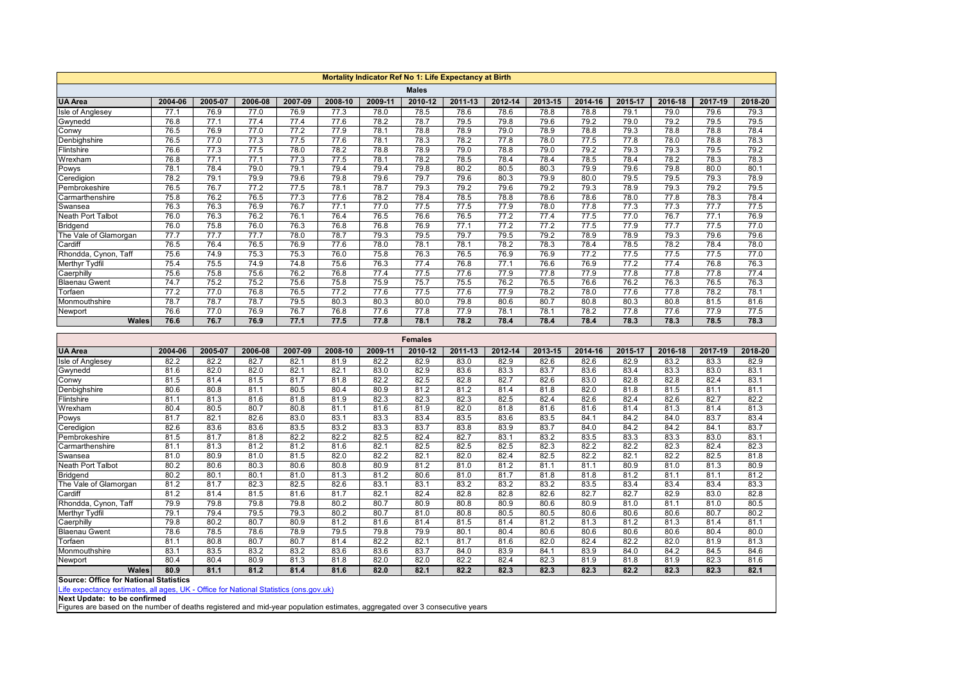<span id="page-1-0"></span>

|                                                                                                                                                             | Mortality Indicator Ref No 1: Life Expectancy at Birth |         |         |         |         |         |                |         |         |         |         |         |         |         |         |
|-------------------------------------------------------------------------------------------------------------------------------------------------------------|--------------------------------------------------------|---------|---------|---------|---------|---------|----------------|---------|---------|---------|---------|---------|---------|---------|---------|
|                                                                                                                                                             |                                                        |         |         |         |         |         | <b>Males</b>   |         |         |         |         |         |         |         |         |
| <b>UA Area</b>                                                                                                                                              | 2004-06                                                | 2005-07 | 2006-08 | 2007-09 | 2008-10 | 2009-11 | 2010-12        | 2011-13 | 2012-14 | 2013-15 | 2014-16 | 2015-17 | 2016-18 | 2017-19 | 2018-20 |
| Isle of Anglesey                                                                                                                                            | 77.1                                                   | 76.9    | 77.0    | 76.9    | 77.3    | 78.0    | 78.5           | 78.6    | 78.6    | 78.8    | 78.8    | 79.1    | 79.0    | 79.6    | 79.3    |
| Gwynedd                                                                                                                                                     | 76.8                                                   | 77.1    | 77.4    | 77.4    | 77.6    | 78.2    | 78.7           | 79.5    | 79.8    | 79.6    | 79.2    | 79.0    | 79.2    | 79.5    | 79.5    |
| Conwy                                                                                                                                                       | 76.5                                                   | 76.9    | 77.0    | 77.2    | 77.9    | 78.1    | 78.8           | 78.9    | 79.0    | 78.9    | 78.8    | 79.3    | 78.8    | 78.8    | 78.4    |
| Denbighshire                                                                                                                                                | 76.5                                                   | 77.0    | 77.3    | 77.5    | 77.6    | 78.1    | 78.3           | 78.2    | 77.8    | 78.0    | 77.5    | 77.8    | 78.0    | 78.8    | 78.3    |
| Flintshire                                                                                                                                                  | 76.6                                                   | 77.3    | 77.5    | 78.0    | 78.2    | 78.8    | 78.9           | 79.0    | 78.8    | 79.0    | 79.2    | 79.3    | 79.3    | 79.5    | 79.2    |
| Wrexham                                                                                                                                                     | 76.8                                                   | 77.1    | 77.1    | 77.3    | 77.5    | 78.1    | 78.2           | 78.5    | 78.4    | 78.4    | 78.5    | 78.4    | 78.2    | 78.3    | 78.3    |
| Powys                                                                                                                                                       | 78.1                                                   | 78.4    | 79.0    | 79.1    | 79.4    | 79.4    | 79.8           | 80.2    | 80.5    | 80.3    | 79.9    | 79.6    | 79.8    | 80.0    | 80.1    |
| Ceredigion                                                                                                                                                  | 78.2                                                   | 79.1    | 79.9    | 79.6    | 79.8    | 79.6    | 79.7           | 79.6    | 80.3    | 79.9    | 80.0    | 79.5    | 79.5    | 79.3    | 78.9    |
| Pembrokeshire                                                                                                                                               | 76.5                                                   | 76.7    | 77.2    | 77.5    | 78.1    | 78.7    | 79.3           | 79.2    | 79.6    | 79.2    | 79.3    | 78.9    | 79.3    | 79.2    | 79.5    |
| Carmarthenshire                                                                                                                                             | 75.8                                                   | 76.2    | 76.5    | 77.3    | 77.6    | 78.2    | 78.4           | 78.5    | 78.8    | 78.6    | 78.6    | 78.0    | 77.8    | 78.3    | 78.4    |
| Swansea                                                                                                                                                     | 76.3                                                   | 76.3    | 76.9    | 76.7    | 77.1    | 77.0    | 77.5           | 77.5    | 77.9    | 78.0    | 77.8    | 77.3    | 77.3    | 77.7    | 77.5    |
| Neath Port Talbot                                                                                                                                           | 76.0                                                   | 76.3    | 76.2    | 76.1    | 76.4    | 76.5    | 76.6           | 76.5    | 77.2    | 77.4    | 77.5    | 77.0    | 76.7    | 77.1    | 76.9    |
| Bridgend                                                                                                                                                    | 76.0                                                   | 75.8    | 76.0    | 76.3    | 76.8    | 76.8    | 76.9           | 77.1    | 77.2    | 77.2    | 77.5    | 77.9    | 77.7    | 77.5    | 77.0    |
| The Vale of Glamorgan                                                                                                                                       | 77.7                                                   | 77.7    | 77.7    | 78.0    | 78.7    | 79.3    | 79.5           | 79.7    | 79.5    | 79.2    | 78.9    | 78.9    | 79.3    | 79.6    | 79.6    |
| Cardiff                                                                                                                                                     | 76.5                                                   | 76.4    | 76.5    | 76.9    | 77.6    | 78.0    | 78.1           | 78.1    | 78.2    | 78.3    | 78.4    | 78.5    | 78.2    | 78.4    | 78.0    |
| Rhondda, Cynon, Taff                                                                                                                                        | 75.6                                                   | 74.9    | 75.3    | 75.3    | 76.0    | 75.8    | 76.3           | 76.5    | 76.9    | 76.9    | 77.2    | 77.5    | 77.5    | 77.5    | 77.0    |
| Merthyr Tydfil                                                                                                                                              | 75.4                                                   | 75.5    | 74.9    | 74.8    | 75.6    | 76.3    | 77.4           | 76.8    | 77.1    | 76.6    | 76.9    | 77.2    | 77.4    | 76.8    | 76.3    |
| Caerphilly                                                                                                                                                  | 75.6                                                   | 75.8    | 75.6    | 76.2    | 76.8    | 77.4    | 77.5           | 77.6    | 77.9    | 77.8    | 77.9    | 77.8    | 77.8    | 77.8    | 77.4    |
| <b>Blaenau Gwent</b>                                                                                                                                        | 74.7                                                   | 75.2    | 75.2    | 75.6    | 75.8    | 75.9    | 75.7           | 75.5    | 76.2    | 76.5    | 76.6    | 76.2    | 76.3    | 76.5    | 76.3    |
| Torfaen                                                                                                                                                     | 77.2                                                   | 77.0    | 76.8    | 76.5    | 77.2    | 77.6    | 77.5           | 77.6    | 77.9    | 78.2    | 78.0    | 77.6    | 77.8    | 78.2    | 78.1    |
| Monmouthshire                                                                                                                                               | 78.7                                                   | 78.7    | 78.7    | 79.5    | 80.3    | 80.3    | 80.0           | 79.8    | 80.6    | 80.7    | 80.8    | 80.3    | 80.8    | 81.5    | 81.6    |
| Newport                                                                                                                                                     | 76.6                                                   | 77.0    | 76.9    | 76.7    | 76.8    | 77.6    | 77.8           | 77.9    | 78.1    | 78.1    | 78.2    | 77.8    | 77.6    | 77.9    | 77.5    |
| <b>Wales</b>                                                                                                                                                | 76.6                                                   | 76.7    | 76.9    | 77.1    | 77.5    | 77.8    | 78.1           | 78.2    | 78.4    | 78.4    | 78.4    | 78.3    | 78.3    | 78.5    | 78.3    |
|                                                                                                                                                             |                                                        |         |         |         |         |         | <b>Females</b> |         |         |         |         |         |         |         |         |
| <b>UA Area</b>                                                                                                                                              | 2004-06                                                | 2005-07 | 2006-08 | 2007-09 | 2008-10 | 2009-11 | 2010-12        | 2011-13 | 2012-14 | 2013-15 | 2014-16 | 2015-17 | 2016-18 | 2017-19 | 2018-20 |
| Isle of Anglesey                                                                                                                                            | 82.2                                                   | 82.2    | 82.7    | 82.1    | 81.9    | 82.2    | 82.9           | 83.0    | 82.9    | 82.6    | 82.6    | 82.9    | 83.2    | 83.3    | 82.9    |
| Gwynedd                                                                                                                                                     | 81.6                                                   | 82.0    | 82.0    | 82.1    | 82.1    | 83.0    | 82.9           | 83.6    | 83.3    | 83.7    | 83.6    | 83.4    | 83.3    | 83.0    | 83.1    |
| Conwy                                                                                                                                                       | 81.5                                                   | 81.4    | 81.5    | 81.7    | 81.8    | 82.2    | 82.5           | 82.8    | 82.7    | 82.6    | 83.0    | 82.8    | 82.8    | 82.4    | 83.1    |
| Denbighshire                                                                                                                                                | 80.6                                                   | 80.8    | 81.1    | 80.5    | 80.4    | 80.9    | 81.2           | 81.2    | 81.4    | 81.8    | 82.0    | 81.8    | 81.5    | 81.1    | 81.1    |
| Flintshire                                                                                                                                                  | 81.1                                                   | 81.3    | 81.6    | 81.8    | 81.9    | 82.3    | 82.3           | 82.3    | 82.5    | 82.4    | 82.6    | 82.4    | 82.6    | 82.7    | 82.2    |
| Wrexham                                                                                                                                                     | 80.4                                                   | 80.5    | 80.7    | 80.8    | 81.1    | 81.6    | 81.9           | 82.0    | 81.8    | 81.6    | 81.6    | 81.4    | 81.3    | 81.4    | 81.3    |
| Powys                                                                                                                                                       | 81.7                                                   | 82.1    | 82.6    | 83.0    | 83.1    | 83.3    | 83.4           | 83.5    | 83.6    | 83.5    | 84.1    | 84.2    | 84.0    | 83.7    | 83.4    |
| Ceredigion                                                                                                                                                  | 82.6                                                   | 83.6    | 83.6    | 83.5    | 83.2    | 83.3    | 83.7           | 83.8    | 83.9    | 83.7    | 84.0    | 84.2    | 84.2    | 84.1    | 83.7    |
| Pembrokeshire                                                                                                                                               | 81.5                                                   | 81.7    | 81.8    | 82.2    | 82.2    | 82.5    | 82.4           | 82.7    | 83.1    | 83.2    | 83.5    | 83.3    | 83.3    | 83.0    | 83.1    |
| Carmarthenshire                                                                                                                                             | 81.1                                                   | 81.3    | 81.2    | 81.2    | 81.6    | 82.1    | 82.5           | 82.5    | 82.5    | 82.3    | 82.2    | 82.2    | 82.3    | 82.4    | 82.3    |
| Swansea                                                                                                                                                     |                                                        |         |         |         |         |         |                |         |         | 82.5    | 82.2    | 82.1    | 82.2    | 82.5    | 81.8    |
|                                                                                                                                                             | 81.0                                                   | 80.9    | 81.0    | 81.5    | 82.0    | 82.2    | 82.1           | 82.0    | 82.4    |         |         |         |         |         |         |
| Neath Port Talbot                                                                                                                                           | 80.2                                                   | 80.6    | 80.3    | 80.6    | 80.8    | 80.9    | 81.2           | 81.0    | 81.2    | 81.1    | 81.1    | 80.9    | 81.0    | 81.3    | 80.9    |
| Bridgend                                                                                                                                                    | 80.2                                                   | 80.1    | 80.1    | 81.0    | 81.3    | 81.2    | 80.6           | 81.0    | 81.7    | 81.8    | 81.8    | 81.2    | 81.1    | 81.1    | 81.2    |
| The Vale of Glamorgan                                                                                                                                       | 81.2                                                   | 81.7    | 82.3    | 82.5    | 82.6    | 83.1    | 83.1           | 83.2    | 83.2    | 83.2    | 83.5    | 83.4    | 83.4    | 83.4    | 83.3    |
| Cardiff                                                                                                                                                     | 81.2                                                   | 81.4    | 81.5    | 81.6    | 81.7    | 82.1    | 82.4           | 82.8    | 82.8    | 82.6    | 82.7    | 82.7    | 82.9    | 83.0    | 82.8    |
| Rhondda, Cynon, Taff                                                                                                                                        | 79.9                                                   | 79.8    | 79.8    | 79.8    | 80.2    | 80.7    | 80.9           | 80.8    | 80.9    | 80.6    | 80.9    | 81.0    | 81.1    | 81.0    | 80.5    |
| Merthyr Tydfil                                                                                                                                              | 79.1                                                   | 79.4    | 79.5    | 79.3    | 80.2    | 80.7    | 81.0           | 80.8    | 80.5    | 80.5    | 80.6    | 80.6    | 80.6    | 80.7    | 80.2    |
| Caerphilly                                                                                                                                                  | 79.8                                                   | 80.2    | 80.7    | 80.9    | 81.2    | 81.6    | 81.4           | 81.5    | 81.4    | 81.2    | 81.3    | 81.2    | 81.3    | 81.4    | 81.1    |
| Blaenau Gwent                                                                                                                                               | 78.6                                                   | 78.5    | 78.6    | 78.9    | 79.5    | 79.8    | 79.9           | 80.1    | 80.4    | 80.6    | 80.6    | 80.6    | 80.6    | 80.4    | 80.0    |
| Torfaen                                                                                                                                                     | 81.1                                                   | 80.8    | 80.7    | 80.7    | 81.4    | 82.2    | 82.1           | 81.7    | 81.6    | 82.0    | 82.4    | 82.2    | 82.0    | 81.9    | 81.3    |
| Monmouthshire                                                                                                                                               | 83.1                                                   | 83.5    | 83.2    | 83.2    | 83.6    | 83.6    | 83.7           | 84.0    | 83.9    | 84.1    | 83.9    | 84.0    | 84.2    | 84.5    | 84.6    |
| Newport                                                                                                                                                     | 80.4                                                   | 80.4    | 80.9    | 81.3    | 81.8    | 82.0    | 82.0           | 82.2    | 82.4    | 82.3    | 81.9    | 81.8    | 81.9    | 82.3    | 81.6    |
| <b>Wales</b>                                                                                                                                                | 80.9                                                   | 81.1    | 81.2    | 81.4    | 81.6    | 82.0    | 82.1           | 82.2    | 82.3    | 82.3    | 82.3    | 82.2    | 82.3    | 82.3    | 82.1    |
| <b>Source: Office for National Statistics</b>                                                                                                               |                                                        |         |         |         |         |         |                |         |         |         |         |         |         |         |         |
| Life expectancy estimates, all ages, UK - Office for National Statistics (ons.gov.uk)                                                                       |                                                        |         |         |         |         |         |                |         |         |         |         |         |         |         |         |
| Next Update: to be confirmed<br>Figures are based on the number of deaths registered and mid-year population estimates, aggregated over 3 consecutive years |                                                        |         |         |         |         |         |                |         |         |         |         |         |         |         |         |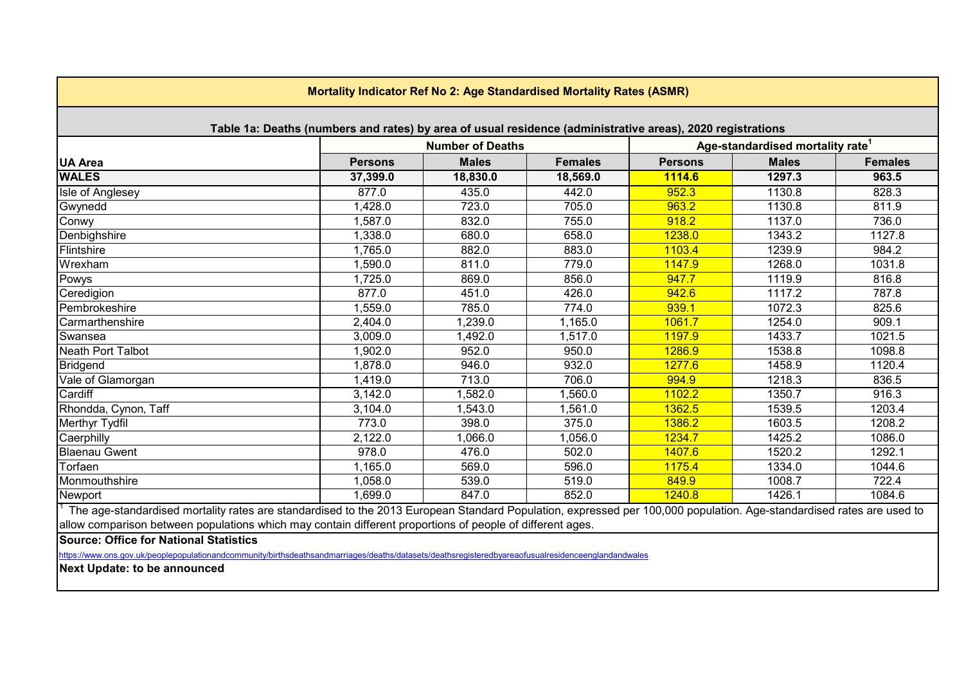<span id="page-2-0"></span>

| Mortality Indicator Ref No 2: Age Standardised Mortality Rates (ASMR)                                                                                                |                |                         |                |                |                                              |                |  |  |  |  |
|----------------------------------------------------------------------------------------------------------------------------------------------------------------------|----------------|-------------------------|----------------|----------------|----------------------------------------------|----------------|--|--|--|--|
| Table 1a: Deaths (numbers and rates) by area of usual residence (administrative areas), 2020 registrations                                                           |                |                         |                |                |                                              |                |  |  |  |  |
|                                                                                                                                                                      |                | <b>Number of Deaths</b> |                |                | Age-standardised mortality rate <sup>1</sup> |                |  |  |  |  |
| <b>UA Area</b>                                                                                                                                                       | <b>Persons</b> | <b>Males</b>            | <b>Females</b> | <b>Persons</b> | <b>Males</b>                                 | <b>Females</b> |  |  |  |  |
| <b>WALES</b>                                                                                                                                                         | 37,399.0       | 18,830.0                | 18,569.0       | 1114.6         | 1297.3                                       | 963.5          |  |  |  |  |
| Isle of Anglesey                                                                                                                                                     | 877.0          | 435.0                   | 442.0          | 952.3          | 1130.8                                       | 828.3          |  |  |  |  |
| Gwynedd                                                                                                                                                              | 1,428.0        | 723.0                   | 705.0          | 963.2          | 1130.8                                       | 811.9          |  |  |  |  |
| Conwy                                                                                                                                                                | 1,587.0        | 832.0                   | 755.0          | 918.2          | 1137.0                                       | 736.0          |  |  |  |  |
| Denbighshire                                                                                                                                                         | 1,338.0        | 680.0                   | 658.0          | 1238.0         | 1343.2                                       | 1127.8         |  |  |  |  |
| Flintshire                                                                                                                                                           | 1,765.0        | 882.0                   | 883.0          | 1103.4         | 1239.9                                       | 984.2          |  |  |  |  |
| Wrexham                                                                                                                                                              | 1,590.0        | 811.0                   | 779.0          | 1147.9         | 1268.0                                       | 1031.8         |  |  |  |  |
| Powys                                                                                                                                                                | 1,725.0        | 869.0                   | 856.0          | 947.7          | 1119.9                                       | 816.8          |  |  |  |  |
| Ceredigion                                                                                                                                                           | 877.0          | 451.0                   | 426.0          | 942.6          | 1117.2                                       | 787.8          |  |  |  |  |
| Pembrokeshire                                                                                                                                                        | 1,559.0        | 785.0                   | 774.0          | 939.1          | 1072.3                                       | 825.6          |  |  |  |  |
| Carmarthenshire                                                                                                                                                      | 2,404.0        | 1,239.0                 | 1,165.0        | 1061.7         | 1254.0                                       | 909.1          |  |  |  |  |
| Swansea                                                                                                                                                              | 3,009.0        | 1,492.0                 | 1,517.0        | 1197.9         | 1433.7                                       | 1021.5         |  |  |  |  |
| Neath Port Talbot                                                                                                                                                    | 1,902.0        | 952.0                   | 950.0          | 1286.9         | 1538.8                                       | 1098.8         |  |  |  |  |
| Bridgend                                                                                                                                                             | 1,878.0        | 946.0                   | 932.0          | 1277.6         | 1458.9                                       | 1120.4         |  |  |  |  |
| Vale of Glamorgan                                                                                                                                                    | 1,419.0        | 713.0                   | 706.0          | 994.9          | 1218.3                                       | 836.5          |  |  |  |  |
| Cardiff                                                                                                                                                              | 3,142.0        | 1,582.0                 | 1,560.0        | 1102.2         | 1350.7                                       | 916.3          |  |  |  |  |
| Rhondda, Cynon, Taff                                                                                                                                                 | 3,104.0        | 1,543.0                 | 1,561.0        | 1362.5         | 1539.5                                       | 1203.4         |  |  |  |  |
| <b>Merthyr Tydfil</b>                                                                                                                                                | 773.0          | 398.0                   | 375.0          | 1386.2         | 1603.5                                       | 1208.2         |  |  |  |  |
| Caerphilly                                                                                                                                                           | 2,122.0        | 1,066.0                 | 1,056.0        | 1234.7         | 1425.2                                       | 1086.0         |  |  |  |  |
| <b>Blaenau Gwent</b>                                                                                                                                                 | 978.0          | 476.0                   | 502.0          | 1407.6         | 1520.2                                       | 1292.1         |  |  |  |  |
| Torfaen                                                                                                                                                              | 1,165.0        | 569.0                   | 596.0          | 1175.4         | 1334.0                                       | 1044.6         |  |  |  |  |
| Monmouthshire                                                                                                                                                        | 1,058.0        | 539.0                   | 519.0          | 849.9          | 1008.7                                       | 722.4          |  |  |  |  |
| Newport                                                                                                                                                              | 1,699.0        | 847.0                   | 852.0          | 1240.8         | 1426.1                                       | 1084.6         |  |  |  |  |
| The age-standardised mortality rates are standardised to the 2013 European Standard Population, expressed per 100,000 population. Age-standardised rates are used to |                |                         |                |                |                                              |                |  |  |  |  |
| allow comparison between populations which may contain different proportions of people of different ages.                                                            |                |                         |                |                |                                              |                |  |  |  |  |

**Source: Office for National Statistics**

https://www.ons.gov.uk/peoplepopulationandcommunity/birthsdeathsandmarriages/deaths/datasets/deathsregisteredbyareaofusualresidenceenglandandwales

**Next Update: to be announced**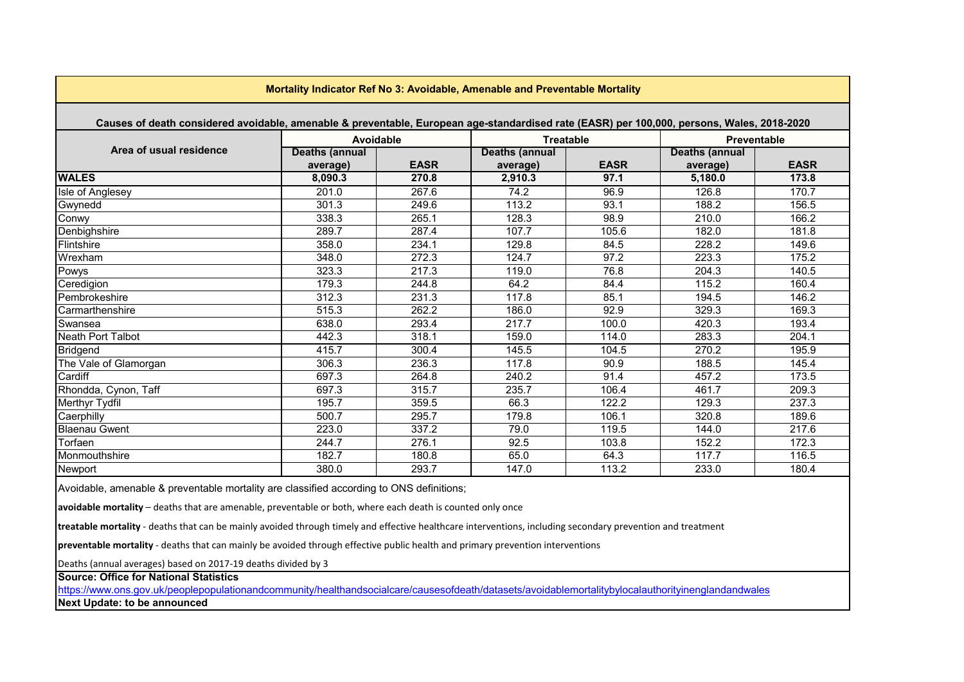<span id="page-3-0"></span>

|                                                                                                                                            | Mortality Indicator Ref No 3: Avoidable, Amenable and Preventable Mortality |             |                                   |             |                                   |                    |
|--------------------------------------------------------------------------------------------------------------------------------------------|-----------------------------------------------------------------------------|-------------|-----------------------------------|-------------|-----------------------------------|--------------------|
| Causes of death considered avoidable, amenable & preventable, European age-standardised rate (EASR) per 100,000, persons, Wales, 2018-2020 |                                                                             |             |                                   |             |                                   |                    |
|                                                                                                                                            | Avoidable                                                                   |             | <b>Treatable</b>                  |             |                                   | <b>Preventable</b> |
| Area of usual residence                                                                                                                    | <b>Deaths (annual</b><br>average)                                           | <b>EASR</b> | <b>Deaths (annual</b><br>average) | <b>EASR</b> | <b>Deaths (annual</b><br>average) | <b>EASR</b>        |
| <b>WALES</b>                                                                                                                               | 8,090.3                                                                     | 270.8       | 2,910.3                           | 97.1        | 5.180.0                           | 173.8              |
| Isle of Anglesey                                                                                                                           | 201.0                                                                       | 267.6       | 74.2                              | 96.9        | 126.8                             | 170.7              |
| Gwynedd                                                                                                                                    | 301.3                                                                       | 249.6       | 113.2                             | 93.1        | 188.2                             | 156.5              |
| Conwy                                                                                                                                      | 338.3                                                                       | 265.1       | 128.3                             | 98.9        | 210.0                             | 166.2              |
| Denbighshire                                                                                                                               | 289.7                                                                       | 287.4       | 107.7                             | 105.6       | 182.0                             | 181.8              |
| Flintshire                                                                                                                                 | 358.0                                                                       | 234.1       | 129.8                             | 84.5        | 228.2                             | 149.6              |
| Wrexham                                                                                                                                    | 348.0                                                                       | 272.3       | 124.7                             | 97.2        | 223.3                             | 175.2              |
| Powys                                                                                                                                      | 323.3                                                                       | 217.3       | 119.0                             | 76.8        | 204.3                             | 140.5              |
| Ceredigion                                                                                                                                 | 179.3                                                                       | 244.8       | 64.2                              | 84.4        | 115.2                             | 160.4              |
| Pembrokeshire                                                                                                                              | 312.3                                                                       | 231.3       | 117.8                             | 85.1        | 194.5                             | 146.2              |
| <b>I</b> Carmarthenshire                                                                                                                   | 515.3                                                                       | 262.2       | 186.0                             | 92.9        | 329.3                             | 169.3              |
| Swansea                                                                                                                                    | 638.0                                                                       | 293.4       | 217.7                             | 100.0       | 420.3                             | 193.4              |
| Neath Port Talbot                                                                                                                          | 442.3                                                                       | 318.1       | 159.0                             | 114.0       | 283.3                             | 204.1              |
| <b>Bridgend</b>                                                                                                                            | 415.7                                                                       | 300.4       | 145.5                             | 104.5       | 270.2                             | 195.9              |
| The Vale of Glamorgan                                                                                                                      | 306.3                                                                       | 236.3       | 117.8                             | 90.9        | 188.5                             | 145.4              |
| Cardiff                                                                                                                                    | 697.3                                                                       | 264.8       | 240.2                             | 91.4        | 457.2                             | 173.5              |
| Rhondda, Cynon, Taff                                                                                                                       | 697.3                                                                       | 315.7       | 235.7                             | 106.4       | 461.7                             | 209.3              |
| <b>Merthyr Tydfil</b>                                                                                                                      | 195.7                                                                       | 359.5       | 66.3                              | 122.2       | 129.3                             | 237.3              |
| Caerphilly                                                                                                                                 | 500.7                                                                       | 295.7       | 179.8                             | 106.1       | 320.8                             | 189.6              |
| <b>Blaenau Gwent</b>                                                                                                                       | 223.0                                                                       | 337.2       | 79.0                              | 119.5       | 144.0                             | 217.6              |
| Torfaen                                                                                                                                    | 244.7                                                                       | 276.1       | 92.5                              | 103.8       | 152.2                             | 172.3              |
| Monmouthshire                                                                                                                              | 182.7                                                                       | 180.8       | 65.0                              | 64.3        | 117.7                             | 116.5              |
| Newport                                                                                                                                    | 380.0                                                                       | 293.7       | 147.0                             | 113.2       | 233.0                             | 180.4              |

Avoidable, amenable & preventable mortality are classified according to ONS definitions;

**avoidable mortality** – deaths that are amenable, preventable or both, where each death is counted only once

**treatable mortality** - deaths that can be mainly avoided through timely and effective healthcare interventions, including secondary prevention and treatment

**preventable mortality** - deaths that can mainly be avoided through effective public health and primary prevention interventions

Deaths (annual averages) based on 2017-19 deaths divided by 3

**Source: Office for National Statistics**

<https://www.ons.gov.uk/peoplepopulationandcommunity/healthandsocialcare/causesofdeath/datasets/avoidablemortalitybylocalauthorityinenglandandwales> **Next Update: to be announced**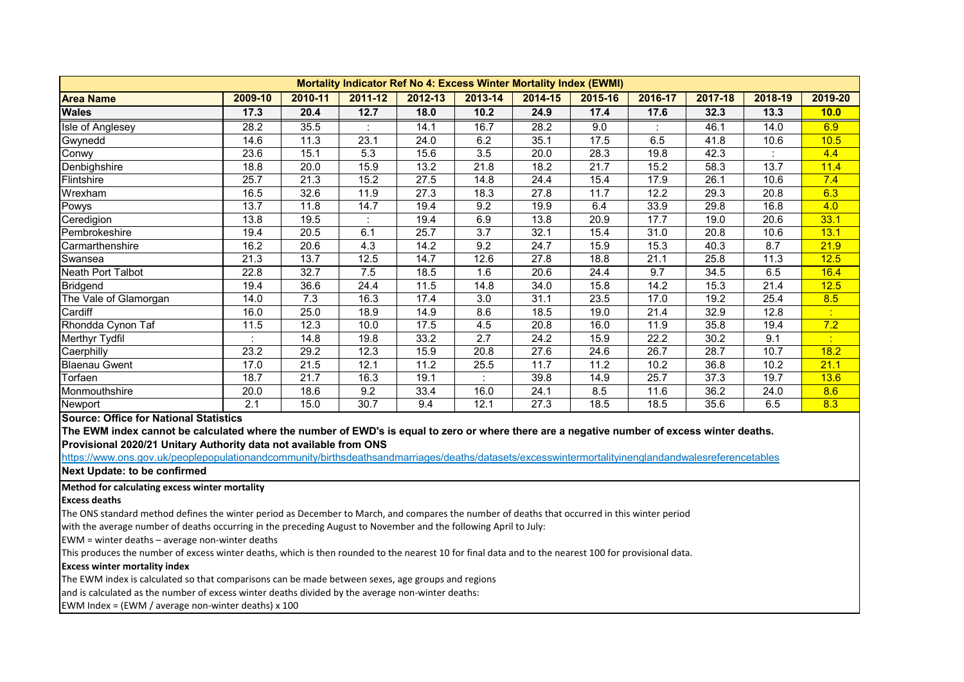<span id="page-4-0"></span>

|                       | <b>Mortality Indicator Ref No 4: Excess Winter Mortality Index (EWMI)</b> |         |             |         |         |         |         |         |         |         |         |  |
|-----------------------|---------------------------------------------------------------------------|---------|-------------|---------|---------|---------|---------|---------|---------|---------|---------|--|
| <b>Area Name</b>      | 2009-10                                                                   | 2010-11 | $2011 - 12$ | 2012-13 | 2013-14 | 2014-15 | 2015-16 | 2016-17 | 2017-18 | 2018-19 | 2019-20 |  |
| <b>Wales</b>          | 17.3                                                                      | 20.4    | 12.7        | 18.0    | 10.2    | 24.9    | 17.4    | 17.6    | 32.3    | 13.3    | 10.0    |  |
| Isle of Anglesey      | 28.2                                                                      | 35.5    |             | 14.1    | 16.7    | 28.2    | 9.0     |         | 46.1    | 14.0    | 6.9     |  |
| Gwynedd               | 14.6                                                                      | 11.3    | 23.1        | 24.0    | 6.2     | 35.1    | 17.5    | 6.5     | 41.8    | 10.6    | 10.5    |  |
| Conwy                 | 23.6                                                                      | 15.1    | 5.3         | 15.6    | 3.5     | 20.0    | 28.3    | 19.8    | 42.3    |         | 4.4     |  |
| Denbighshire          | 18.8                                                                      | 20.0    | 15.9        | 13.2    | 21.8    | 18.2    | 21.7    | 15.2    | 58.3    | 13.7    | 11.4    |  |
| Flintshire            | 25.7                                                                      | 21.3    | 15.2        | 27.5    | 14.8    | 24.4    | 15.4    | 17.9    | 26.1    | 10.6    | 7.4     |  |
| Wrexham               | 16.5                                                                      | 32.6    | 11.9        | 27.3    | 18.3    | 27.8    | 11.7    | 12.2    | 29.3    | 20.8    | 6.3     |  |
| Powys                 | 13.7                                                                      | 11.8    | 14.7        | 19.4    | 9.2     | 19.9    | 6.4     | 33.9    | 29.8    | 16.8    | 4.0     |  |
| Ceredigion            | 13.8                                                                      | 19.5    |             | 19.4    | 6.9     | 13.8    | 20.9    | 17.7    | 19.0    | 20.6    | 33.1    |  |
| Pembrokeshire         | 19.4                                                                      | 20.5    | 6.1         | 25.7    | 3.7     | 32.1    | 15.4    | 31.0    | 20.8    | 10.6    | 13.1    |  |
| Carmarthenshire       | 16.2                                                                      | 20.6    | 4.3         | 14.2    | 9.2     | 24.7    | 15.9    | 15.3    | 40.3    | 8.7     | 21.9    |  |
| Swansea               | 21.3                                                                      | 13.7    | 12.5        | 14.7    | 12.6    | 27.8    | 18.8    | 21.1    | 25.8    | 11.3    | 12.5    |  |
| Neath Port Talbot     | 22.8                                                                      | 32.7    | 7.5         | 18.5    | 1.6     | 20.6    | 24.4    | 9.7     | 34.5    | 6.5     | 16.4    |  |
| Bridgend              | 19.4                                                                      | 36.6    | 24.4        | 11.5    | 14.8    | 34.0    | 15.8    | 14.2    | 15.3    | 21.4    | 12.5    |  |
| The Vale of Glamorgan | 14.0                                                                      | 7.3     | 16.3        | 17.4    | 3.0     | 31.1    | 23.5    | 17.0    | 19.2    | 25.4    | 8.5     |  |
| Cardiff               | 16.0                                                                      | 25.0    | 18.9        | 14.9    | 8.6     | 18.5    | 19.0    | 21.4    | 32.9    | 12.8    |         |  |
| Rhondda Cynon Taf     | 11.5                                                                      | 12.3    | 10.0        | 17.5    | 4.5     | 20.8    | 16.0    | 11.9    | 35.8    | 19.4    | 7.2     |  |
| Merthyr Tydfil        |                                                                           | 14.8    | 19.8        | 33.2    | 2.7     | 24.2    | 15.9    | 22.2    | 30.2    | 9.1     |         |  |
| Caerphilly            | 23.2                                                                      | 29.2    | 12.3        | 15.9    | 20.8    | 27.6    | 24.6    | 26.7    | 28.7    | 10.7    | 18.2    |  |
| <b>Blaenau Gwent</b>  | 17.0                                                                      | 21.5    | 12.1        | 11.2    | 25.5    | 11.7    | 11.2    | 10.2    | 36.8    | 10.2    | 21.1    |  |
| Torfaen               | 18.7                                                                      | 21.7    | 16.3        | 19.1    |         | 39.8    | 14.9    | 25.7    | 37.3    | 19.7    | 13.6    |  |
| Monmouthshire         | 20.0                                                                      | 18.6    | 9.2         | 33.4    | 16.0    | 24.1    | 8.5     | 11.6    | 36.2    | 24.0    | 8.6     |  |
| Newport               | 2.1                                                                       | 15.0    | 30.7        | 9.4     | 12.1    | 27.3    | 18.5    | 18.5    | 35.6    | 6.5     | 8.3     |  |

**Source: Office for National Statistics**

**The EWM index cannot be calculated where the number of EWD's is equal to zero or where there are a negative number of excess winter deaths. Provisional 2020/21 Unitary Authority data not available from ONS**

<https://www.ons.gov.uk/peoplepopulationandcommunity/birthsdeathsandmarriages/deaths/datasets/excesswintermortalityinenglandandwalesreferencetables>

**Next Update: to be confirmed**

## **Method for calculating excess winter mortality**

**Excess deaths**

The ONS standard method defines the winter period as December to March, and compares the number of deaths that occurred in this winter period

with the average number of deaths occurring in the preceding August to November and the following April to July:

EWM = winter deaths – average non-winter deaths

This produces the number of excess winter deaths, which is then rounded to the nearest 10 for final data and to the nearest 100 for provisional data.

## **Excess winter mortality index**

The EWM index is calculated so that comparisons can be made between sexes, age groups and regions

and is calculated as the number of excess winter deaths divided by the average non-winter deaths:

EWM Index = (EWM / average non-winter deaths) x 100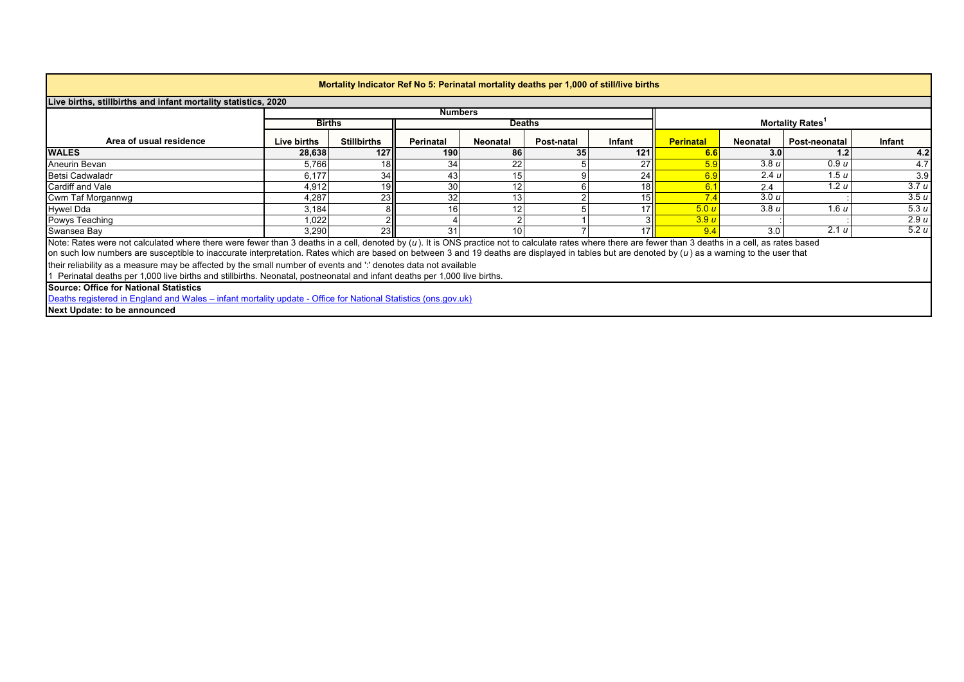<span id="page-5-0"></span>

| Mortality Indicator Ref No 5: Perinatal mortality deaths per 1,000 of still/live births                                                                                                                                                                                                                                                                                                                                                                                                                                     |                                                                     |                    |                  |          |            |        |                  |          |               |        |  |  |  |
|-----------------------------------------------------------------------------------------------------------------------------------------------------------------------------------------------------------------------------------------------------------------------------------------------------------------------------------------------------------------------------------------------------------------------------------------------------------------------------------------------------------------------------|---------------------------------------------------------------------|--------------------|------------------|----------|------------|--------|------------------|----------|---------------|--------|--|--|--|
|                                                                                                                                                                                                                                                                                                                                                                                                                                                                                                                             | Live births, stillbirths and infant mortality statistics, 2020      |                    |                  |          |            |        |                  |          |               |        |  |  |  |
|                                                                                                                                                                                                                                                                                                                                                                                                                                                                                                                             | <b>Numbers</b>                                                      |                    |                  |          |            |        |                  |          |               |        |  |  |  |
|                                                                                                                                                                                                                                                                                                                                                                                                                                                                                                                             | <b>Mortality Rates</b><br><b>Births</b><br><b>Deaths</b>            |                    |                  |          |            |        |                  |          |               |        |  |  |  |
| Area of usual residence                                                                                                                                                                                                                                                                                                                                                                                                                                                                                                     | Live births                                                         | <b>Stillbirths</b> | <b>Perinatal</b> | Neonatal | Post-natal | Infant | <b>Perinatal</b> | Neonatal | Post-neonatal | Infant |  |  |  |
| <b>WALES</b>                                                                                                                                                                                                                                                                                                                                                                                                                                                                                                                | 28,638                                                              | 127                | 190              | 86       | 35         | 121    | 6.6              | 3.0      | 1.2           | 4.2    |  |  |  |
| Aneurin Bevan                                                                                                                                                                                                                                                                                                                                                                                                                                                                                                               | 5,766                                                               | 18                 | 34               | 22       |            | 27     | 5.9              | 3.8u     | 0.9u          | 4.7    |  |  |  |
| Betsi Cadwaladr                                                                                                                                                                                                                                                                                                                                                                                                                                                                                                             | 6,177                                                               | 34                 | 43               |          |            | 24     | 6.9              | 2.4 u    | 1.5 u         | 3.9    |  |  |  |
| Cardiff and Vale                                                                                                                                                                                                                                                                                                                                                                                                                                                                                                            | 3.7 u<br>30<br>1.2 u<br>4,912<br>18 <sup>1</sup><br>19<br>6.<br>2.4 |                    |                  |          |            |        |                  |          |               |        |  |  |  |
| Cwm Taf Morgannwg                                                                                                                                                                                                                                                                                                                                                                                                                                                                                                           | 4,287                                                               | 23                 | 32               |          |            | 15     |                  | 3.0 u    |               | 3.5 u  |  |  |  |
| <b>Hywel Dda</b>                                                                                                                                                                                                                                                                                                                                                                                                                                                                                                            | 3,184                                                               |                    | 16               |          |            |        | 5.0 u            | 3.8u     | 1.6 u         | 5.3u   |  |  |  |
| Powys Teaching                                                                                                                                                                                                                                                                                                                                                                                                                                                                                                              | 1,022                                                               |                    |                  |          |            |        | 3.9u             |          |               | 2.9 u  |  |  |  |
| Swansea Bay                                                                                                                                                                                                                                                                                                                                                                                                                                                                                                                 | 3.290                                                               | 23                 | 31               |          |            |        |                  | 3.0      | 2.1 u         | 5.2u   |  |  |  |
| Note: Rates were not calculated where there were fewer than 3 deaths in a cell, denoted by (u). It is ONS practice not to calculate rates where there are fewer than 3 deaths in a cell, as rates based<br>on such low numbers are susceptible to inaccurate interpretation. Rates which are based on between 3 and 19 deaths are displayed in tables but are denoted by (u) as a warning to the user that<br>their reliability as a measure may be affected by the small number of events and " denotes data not available |                                                                     |                    |                  |          |            |        |                  |          |               |        |  |  |  |
| Perinatal deaths per 1,000 live births and stillbirths. Neonatal, postneonatal and infant deaths per 1,000 live births.                                                                                                                                                                                                                                                                                                                                                                                                     |                                                                     |                    |                  |          |            |        |                  |          |               |        |  |  |  |
| <b>Source: Office for National Statistics</b>                                                                                                                                                                                                                                                                                                                                                                                                                                                                               |                                                                     |                    |                  |          |            |        |                  |          |               |        |  |  |  |
| Deaths registered in England and Wales – infant mortality update - Office for National Statistics (ons.gov.uk)                                                                                                                                                                                                                                                                                                                                                                                                              |                                                                     |                    |                  |          |            |        |                  |          |               |        |  |  |  |
| Next Update: to be announced                                                                                                                                                                                                                                                                                                                                                                                                                                                                                                |                                                                     |                    |                  |          |            |        |                  |          |               |        |  |  |  |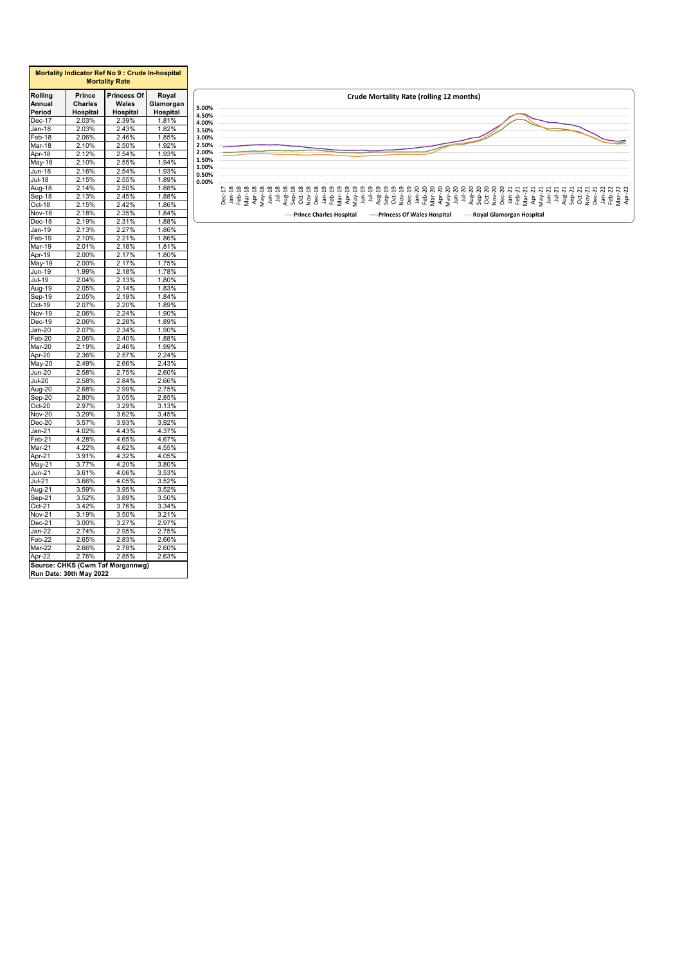<span id="page-6-0"></span>

| <b>Mortality Rate</b> |                |                                  |                |  |  |  |  |  |  |  |  |
|-----------------------|----------------|----------------------------------|----------------|--|--|--|--|--|--|--|--|
| Rolling               | Prince         | Princess Of                      | Royal          |  |  |  |  |  |  |  |  |
| Annual                | Charles        | Wales                            | Glamorgan      |  |  |  |  |  |  |  |  |
| Period                | Hospital       | Hospital                         | Hospital       |  |  |  |  |  |  |  |  |
| Dec-17                | 2.03%          | 2.39%                            | 1.81%          |  |  |  |  |  |  |  |  |
| Jan-18                | 2.03%          | 2.43%                            | 1.82%          |  |  |  |  |  |  |  |  |
| Feb-18                | 2.06%          | 2.46%                            | 1.85%          |  |  |  |  |  |  |  |  |
| Mar-18                | 2.10%          | 2.50%                            | 1.92%          |  |  |  |  |  |  |  |  |
| Apr-18                | 2.12%          | 2.54%                            | 1.93%          |  |  |  |  |  |  |  |  |
| May-18                | 2.10%          | 2.55%                            | 1.94%          |  |  |  |  |  |  |  |  |
| Jun-18                | 2.16%          | 2.54%                            | 1.93%          |  |  |  |  |  |  |  |  |
| Jul-18                | 2.15%          | 2.55%                            | 1.89%          |  |  |  |  |  |  |  |  |
| Aug-18                | 2.14%          | 2.50%                            | 1.88%          |  |  |  |  |  |  |  |  |
| Sep-18                | 2.13%          | 2.45%                            | 1.88%          |  |  |  |  |  |  |  |  |
| Oct-18                | 2.15%          | 2.42%                            | 1.86%          |  |  |  |  |  |  |  |  |
| <b>Nov-18</b>         | 2.18%          | 2.35%                            | 1.84%          |  |  |  |  |  |  |  |  |
| Dec-18                | 2.19%          | 2.31%                            | 1.88%          |  |  |  |  |  |  |  |  |
| Jan-19                | 2.13%          | 2.27%                            | 1.86%          |  |  |  |  |  |  |  |  |
| Feb-19                | 2.10%          | 2.21%                            | 1.86%          |  |  |  |  |  |  |  |  |
| Mar-19                | 2.01%          | 2.18%                            | 1.81%          |  |  |  |  |  |  |  |  |
| Apr-19                | 2.00%          | 2.17%                            | 1.80%          |  |  |  |  |  |  |  |  |
| May-19                | 2.00%          | 2.17%                            | 1.75%          |  |  |  |  |  |  |  |  |
| <u>Jun</u> -19        | 1.99%          | 2.18%                            | 1.78%          |  |  |  |  |  |  |  |  |
| Jul-19                | 2.04%          | 2.13%                            | 1.80%          |  |  |  |  |  |  |  |  |
| Aug-19                | 2.05%          | 2.14%                            | 1.83%          |  |  |  |  |  |  |  |  |
| Sep-19                | 2.05%          | 2.19%                            | 1.84%          |  |  |  |  |  |  |  |  |
| Oct-19                | 2.07%          | 2.20%                            | 1.89%          |  |  |  |  |  |  |  |  |
| Nov-19                | 2.06%          | 2.24%                            | 1.90%          |  |  |  |  |  |  |  |  |
| Dec-19                | 2.06%          | 2.28%                            | 1.89%          |  |  |  |  |  |  |  |  |
|                       |                | 2.34%                            | 1.90%          |  |  |  |  |  |  |  |  |
| $Jan-20$              | 2.07%          |                                  |                |  |  |  |  |  |  |  |  |
| Feb-20                | 2.06%<br>2.19% | 2.40%<br>2.46%                   | 1.88%<br>1.99% |  |  |  |  |  |  |  |  |
| Mar-20                |                |                                  |                |  |  |  |  |  |  |  |  |
| Apr-20                | 2.36%          | 2.57%                            | 2.24%          |  |  |  |  |  |  |  |  |
| $May-20$              | 2.49%          | 2.66%                            | 2.43%          |  |  |  |  |  |  |  |  |
| Jun-20                | 2.58%          | 2.75%                            | 2.60%          |  |  |  |  |  |  |  |  |
| $Jul-20$              | 2.58%          | 2.84%                            | 2.66%          |  |  |  |  |  |  |  |  |
| Aug-20                | 2.68%          | 2.99%                            | 2.75%          |  |  |  |  |  |  |  |  |
| Sep-20                | 2.80%          | 3.05%                            | 2.85%          |  |  |  |  |  |  |  |  |
| $Oct-20$              | 2.97%          | 3.29%                            | 3.13%          |  |  |  |  |  |  |  |  |
| Nov-20                | 3.29%          | 3.62%                            | 3.45%          |  |  |  |  |  |  |  |  |
| Dec-20                | 3.57%          | 3.93%                            | 3.92%          |  |  |  |  |  |  |  |  |
| Jan-21                | 4.02%          | 4.43%                            | 4.37%          |  |  |  |  |  |  |  |  |
| Feb-21                | 4.28%          | 4.65%                            | 4.67%          |  |  |  |  |  |  |  |  |
| Mar-21                | 4.22%          | 4.62%                            | 4.55%          |  |  |  |  |  |  |  |  |
| Apr-21                | 3.91%          | 4.32%                            | 4.05%          |  |  |  |  |  |  |  |  |
| $May-21$              | 3.77%          | 4.20%                            | 3.80%          |  |  |  |  |  |  |  |  |
| $Jun-21$              | 3.61%          | 4.06%                            | 3.53%          |  |  |  |  |  |  |  |  |
| $Jul-21$              | 3.66%          | 4.05%                            | 3.52%          |  |  |  |  |  |  |  |  |
| Aug-21                | 3.59%          | 3.95%                            | 3.52%          |  |  |  |  |  |  |  |  |
| Sep-21                | 3.52%          | 3.89%                            | 3.50%          |  |  |  |  |  |  |  |  |
| Oct-21                | 3.42%          | 3.76%                            | 3.34%          |  |  |  |  |  |  |  |  |
| Nov-21                | 3.19%          | 3.50%                            | 3.21%          |  |  |  |  |  |  |  |  |
| Dec-21                | 3.00%          | 3.27%                            | 2.97%          |  |  |  |  |  |  |  |  |
| Jan-22                | 2.74%          | 2.95%                            | 2.75%          |  |  |  |  |  |  |  |  |
| Feb-22                | 2.65%          | 2.83%                            | 2.66%          |  |  |  |  |  |  |  |  |
| Mar-22                | 2.66%          | 2.78%                            | 2.60%          |  |  |  |  |  |  |  |  |
| Apr-22                | 2.76%          | 2.85%                            | 2.63%          |  |  |  |  |  |  |  |  |
|                       |                | Source: CHKS (Cwm Taf Morgannwg) |                |  |  |  |  |  |  |  |  |

|                                                                               |            |     |   |   |   |    |   |   |   |   |          |        |   |           |  |     |     |   |   |   |   |   |        |    |   |   | <b>Crude Mortality Rate (rolling 12 months)</b> |     |        |   |   |   |   |   |   |  |  |  |   |
|-------------------------------------------------------------------------------|------------|-----|---|---|---|----|---|---|---|---|----------|--------|---|-----------|--|-----|-----|---|---|---|---|---|--------|----|---|---|-------------------------------------------------|-----|--------|---|---|---|---|---|---|--|--|--|---|
| 5.00%<br>4.50%<br>4.00%<br>3.50%<br>3.00%<br>2.50%<br>2.00%<br>1.50%<br>1.00% |            |     |   |   |   |    |   |   |   |   |          |        |   |           |  |     |     |   |   |   |   |   |        |    |   |   |                                                 |     |        |   |   |   |   |   |   |  |  |  |   |
| 0.50%<br>0.00%                                                                | <b>Dec</b> | - 등 | 윤 | š | ᡷ | ξŔ | Ĕ | ₹ | S | Õ | ş<br>്ട് | 줱<br>횩 | ŝ | χeν<br>ਟੈ |  | Aug | န္တ | ő | ş | ് | 희 | 훈 | 훈<br>ŝ | λg | 크 | Ξ | Aug                                             | န္တ | ő<br>۽ | ് | 희 | ٩ | ŝ | ჵ | ᆿ |  |  |  | ĕ |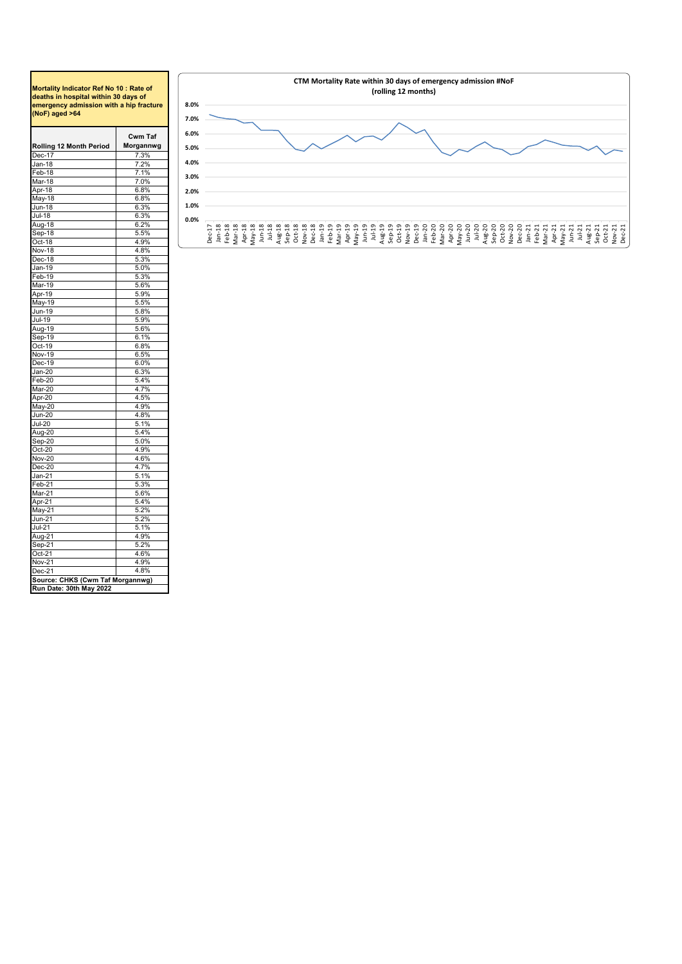## <span id="page-7-0"></span>**Mortality Indicator Ref No 10 : Rate of deaths in hospital within 30 days of emergency admission with a hip fracture (NoF) aged >64**

| Rolling 12 Month Period                    | Cwm Taf<br>Morgannwg |
|--------------------------------------------|----------------------|
| Dec-17                                     | 7.3%                 |
| Jan-18                                     |                      |
| Feb-18                                     | 7.2%<br>7.1%         |
| Mar-18                                     | 7.0%                 |
|                                            |                      |
| Apr-18                                     | 6.8%                 |
| May-18                                     | 6.8%                 |
| Jun-18                                     | 6.3%                 |
| Jul-18                                     | 6.3%                 |
| Aug-18                                     | 6.2%                 |
| Sep-18                                     | 5.5%                 |
| Oct-18                                     | 4.9%                 |
| Nov-18                                     | 4.8%                 |
| Dec-18                                     | 5.3%                 |
| Jan-19                                     | 5.0%                 |
| Feb-19                                     | 5.3%                 |
| Mar-19                                     | 5.6%                 |
| Apr-19                                     | 5.9%                 |
| May-19                                     | 5.5%                 |
| Jun-19                                     | 5.8%                 |
| Jul-19                                     | 5.9%                 |
| Aug-19                                     | 5.6%                 |
| Sep-19                                     | 6.1%                 |
| Oct-19                                     | 6.8%                 |
| Nov-19                                     | 6.5%                 |
| Dec-19                                     | 6.0%                 |
| Jan-20                                     | 6.3%                 |
| Feb-20                                     | 5.4%                 |
| Mar-20                                     | 4.7%                 |
| Apr-20                                     | 4.5%                 |
| May-20                                     | 4.9%                 |
| <b>Jun-20</b>                              | 4.8%                 |
| <b>Jul-20</b>                              | 5.1%                 |
| Aug-20                                     | 5.4%                 |
| Sep-20                                     | 5.0%                 |
| $Oct-20$                                   | 4.9%                 |
| Nov-20                                     | 4.6%                 |
| Dec-20                                     | 4.7%                 |
| Jan-21                                     | 5.1%                 |
| Feb-21                                     | 5.3%                 |
| Mar-21                                     | 5.6%                 |
| Apr-21                                     | 5.4%                 |
|                                            | 5.2%                 |
| May-21                                     | 5.2%                 |
| Jun-21<br>Jul-21                           |                      |
|                                            | 5.1%                 |
| Aug-21                                     | 4.9%                 |
| Sep-21                                     | 5.2%                 |
| Oct-21                                     | 4.6%                 |
|                                            | 4.9%                 |
| Nov-21                                     |                      |
| Dec-21<br>Source: CHKS (Cwm Taf Morgannwg) | 4.8%                 |

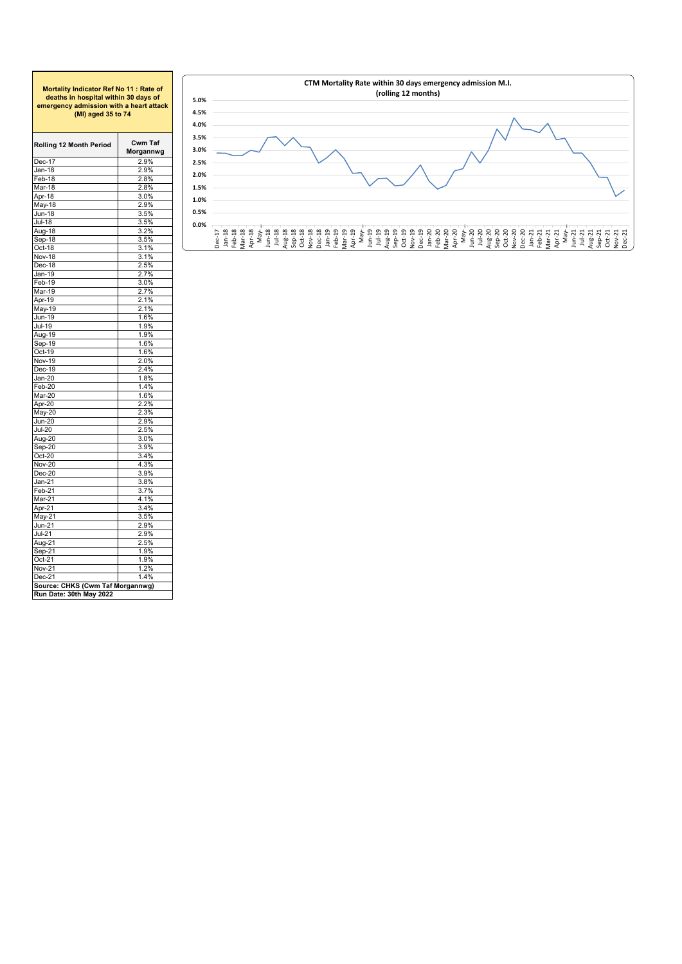<span id="page-8-0"></span>

| Mortality Indicator Ref No 11: Rate of<br>deaths in hospital within 30 days of<br>emergency admission with a heart attack<br>(MI) aged 35 to 74 |                             |  |  |  |  |  |  |  |  |
|-------------------------------------------------------------------------------------------------------------------------------------------------|-----------------------------|--|--|--|--|--|--|--|--|
| Rolling 12 Month Period                                                                                                                         | <b>Cwm Taf</b><br>Morgannwg |  |  |  |  |  |  |  |  |
| $Dec-17$                                                                                                                                        | 2.9%                        |  |  |  |  |  |  |  |  |
| Jan-18                                                                                                                                          | 2.9%                        |  |  |  |  |  |  |  |  |
| Feb-18                                                                                                                                          | 2.8%                        |  |  |  |  |  |  |  |  |
| Mar-18                                                                                                                                          | 2.8%                        |  |  |  |  |  |  |  |  |
| Apr-18                                                                                                                                          | 3.0%                        |  |  |  |  |  |  |  |  |
| May-18                                                                                                                                          | 2.9%                        |  |  |  |  |  |  |  |  |
| <u>Jun-18</u>                                                                                                                                   | 3.5%                        |  |  |  |  |  |  |  |  |
| Jul-18                                                                                                                                          | 3.5%                        |  |  |  |  |  |  |  |  |
| <u>Aug-</u> 18                                                                                                                                  | 3.2%                        |  |  |  |  |  |  |  |  |
| Sep-18                                                                                                                                          | 3.5%                        |  |  |  |  |  |  |  |  |
| Oct-18                                                                                                                                          | 3.1%                        |  |  |  |  |  |  |  |  |
| Nov-18                                                                                                                                          | 3.1%                        |  |  |  |  |  |  |  |  |
| Dec-18                                                                                                                                          | 2.5%<br>2.7%                |  |  |  |  |  |  |  |  |
| Jan-19<br>Feb-19                                                                                                                                | 3.0%                        |  |  |  |  |  |  |  |  |
| Mar-19                                                                                                                                          | 2.7%                        |  |  |  |  |  |  |  |  |
| Apr-19                                                                                                                                          | 2.1%                        |  |  |  |  |  |  |  |  |
| May-19                                                                                                                                          | 2.1%                        |  |  |  |  |  |  |  |  |
| Jun-19                                                                                                                                          | 1.6%                        |  |  |  |  |  |  |  |  |
| Jul-19                                                                                                                                          | 1.9%                        |  |  |  |  |  |  |  |  |
| Aug-19                                                                                                                                          | 1.9%                        |  |  |  |  |  |  |  |  |
| Sep-19                                                                                                                                          | 1.6%                        |  |  |  |  |  |  |  |  |
| Oct-19                                                                                                                                          | 1.6%                        |  |  |  |  |  |  |  |  |
| Nov-19                                                                                                                                          | 2.0%                        |  |  |  |  |  |  |  |  |
| Dec-19                                                                                                                                          | 2.4%                        |  |  |  |  |  |  |  |  |
| Jan-20                                                                                                                                          | 1.8%                        |  |  |  |  |  |  |  |  |
| Feb-20                                                                                                                                          | 1.4%                        |  |  |  |  |  |  |  |  |
| Mar-20                                                                                                                                          | 1.6%                        |  |  |  |  |  |  |  |  |
| Apr-20                                                                                                                                          | 2.2%                        |  |  |  |  |  |  |  |  |
| May-20                                                                                                                                          | 2.3%                        |  |  |  |  |  |  |  |  |
| Jun-20                                                                                                                                          | 2.9%                        |  |  |  |  |  |  |  |  |
| $Jul-20$                                                                                                                                        | 2.5%                        |  |  |  |  |  |  |  |  |
| Aug-20                                                                                                                                          | 3.0%                        |  |  |  |  |  |  |  |  |
| Sep-20                                                                                                                                          | 3.9%                        |  |  |  |  |  |  |  |  |
| $Oct-20$                                                                                                                                        | 3.4%                        |  |  |  |  |  |  |  |  |
| <b>Nov-20</b>                                                                                                                                   | 4.3%                        |  |  |  |  |  |  |  |  |
| $Dec-20$                                                                                                                                        | 3.9%                        |  |  |  |  |  |  |  |  |
| Jan-21                                                                                                                                          | 3.8%                        |  |  |  |  |  |  |  |  |
| Feb-21                                                                                                                                          | 3.7%                        |  |  |  |  |  |  |  |  |
| Mar-21<br>Apr-21                                                                                                                                | 4.1%<br>3.4%                |  |  |  |  |  |  |  |  |
|                                                                                                                                                 | 3.5%                        |  |  |  |  |  |  |  |  |
| May-21<br>Jun-21                                                                                                                                | 2.9%                        |  |  |  |  |  |  |  |  |
| Jul-21                                                                                                                                          | 2.9%                        |  |  |  |  |  |  |  |  |
| Aug-21                                                                                                                                          | 2.5%                        |  |  |  |  |  |  |  |  |
| Sep-21                                                                                                                                          | 1.9%                        |  |  |  |  |  |  |  |  |
| $Oct-21$                                                                                                                                        | 1.9%                        |  |  |  |  |  |  |  |  |
| Nov-21                                                                                                                                          | 1.2%                        |  |  |  |  |  |  |  |  |
| Dec-21                                                                                                                                          | 1.4%                        |  |  |  |  |  |  |  |  |
| Source: CHKS (Cwm Taf Morgannwg)                                                                                                                |                             |  |  |  |  |  |  |  |  |
| Run Date: 30th May 2022                                                                                                                         |                             |  |  |  |  |  |  |  |  |
|                                                                                                                                                 |                             |  |  |  |  |  |  |  |  |

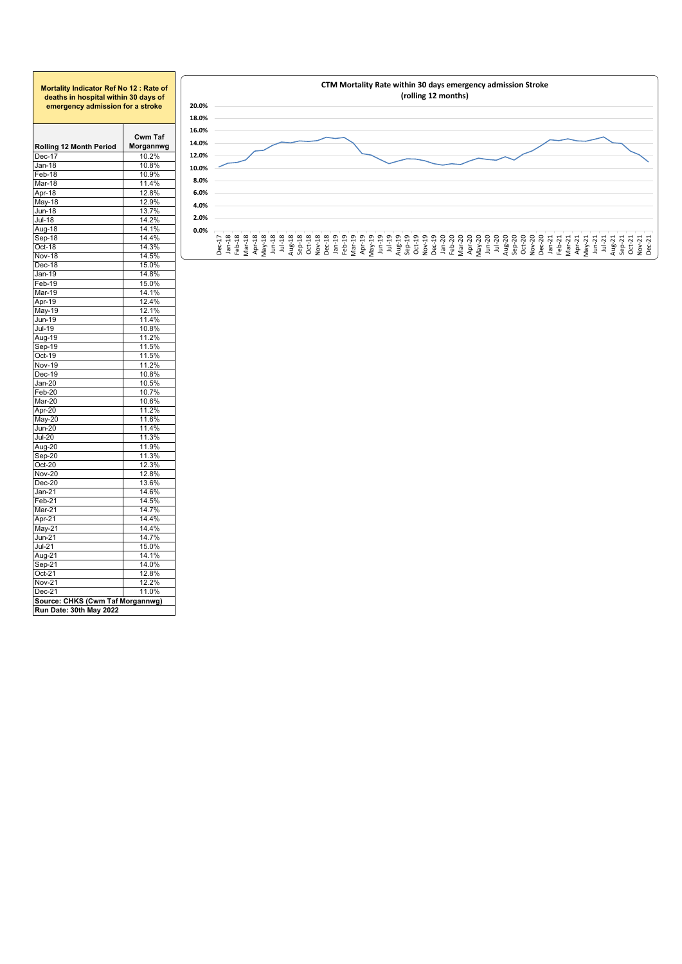| Mortality Indicator Ref No 12: Rate of<br>deaths in hospital within 30 days of<br>emergency admission for a stroke |                      |  |  |  |  |  |  |  |  |
|--------------------------------------------------------------------------------------------------------------------|----------------------|--|--|--|--|--|--|--|--|
| Rolling 12 Month Period                                                                                            | Cwm Taf<br>Morgannwg |  |  |  |  |  |  |  |  |
| Dec-17                                                                                                             | 10.2%                |  |  |  |  |  |  |  |  |
| Jan-18                                                                                                             | 10.8%                |  |  |  |  |  |  |  |  |
| Feb-18                                                                                                             | 10.9%                |  |  |  |  |  |  |  |  |
| Mar-18                                                                                                             | 11.4%                |  |  |  |  |  |  |  |  |
| Apr-18                                                                                                             | 12.8%                |  |  |  |  |  |  |  |  |
| May-18                                                                                                             | 12.9%                |  |  |  |  |  |  |  |  |
| Jun-18                                                                                                             | 13.7%                |  |  |  |  |  |  |  |  |
| <b>Jul-18</b>                                                                                                      | 14.2%                |  |  |  |  |  |  |  |  |
| Aug-18                                                                                                             | 14.1%                |  |  |  |  |  |  |  |  |
| Sep-18                                                                                                             | 14.4%                |  |  |  |  |  |  |  |  |
| Oct-18                                                                                                             | 14.3%                |  |  |  |  |  |  |  |  |
| <b>Nov-18</b>                                                                                                      | 14.5%                |  |  |  |  |  |  |  |  |
| Dec-18                                                                                                             | 15.0%                |  |  |  |  |  |  |  |  |
| Jan-19                                                                                                             | 14.8%                |  |  |  |  |  |  |  |  |
| Feb-19                                                                                                             | 15.0%                |  |  |  |  |  |  |  |  |
| Mar-19                                                                                                             | 14.1%                |  |  |  |  |  |  |  |  |
| Apr-19                                                                                                             | 12.4%                |  |  |  |  |  |  |  |  |
| May-19                                                                                                             | 12.1%                |  |  |  |  |  |  |  |  |
| <u>Jun</u> -19                                                                                                     | 11.4%                |  |  |  |  |  |  |  |  |
| Jul-19                                                                                                             | 10.8%                |  |  |  |  |  |  |  |  |
| Aug-19                                                                                                             | 11.2%                |  |  |  |  |  |  |  |  |
|                                                                                                                    | 11.5%                |  |  |  |  |  |  |  |  |
| Sep-19                                                                                                             |                      |  |  |  |  |  |  |  |  |
| Oct-19                                                                                                             | 11.5%                |  |  |  |  |  |  |  |  |
| <b>Nov-19</b>                                                                                                      | 11.2%                |  |  |  |  |  |  |  |  |
| Dec-19                                                                                                             | 10.8%                |  |  |  |  |  |  |  |  |
| $Jan-20$                                                                                                           | 10.5%                |  |  |  |  |  |  |  |  |
| Feb-20                                                                                                             | 10.7%                |  |  |  |  |  |  |  |  |
| Mar-20                                                                                                             | 10.6%                |  |  |  |  |  |  |  |  |
| Apr-20                                                                                                             | 11.2%                |  |  |  |  |  |  |  |  |
| May-20                                                                                                             | 11.6%                |  |  |  |  |  |  |  |  |
| <b>Jun-20</b>                                                                                                      | 11.4%                |  |  |  |  |  |  |  |  |
| <b>Jul-20</b>                                                                                                      | 11.3%                |  |  |  |  |  |  |  |  |
| Aug-20                                                                                                             | 11.9%                |  |  |  |  |  |  |  |  |
| Sep-20                                                                                                             | 11.3%                |  |  |  |  |  |  |  |  |
| $Oct-20$                                                                                                           | 12.3%                |  |  |  |  |  |  |  |  |
| <b>Nov-20</b>                                                                                                      | 12.8%                |  |  |  |  |  |  |  |  |
| Dec-20                                                                                                             | 13.6%                |  |  |  |  |  |  |  |  |
| Jan-21                                                                                                             | 14.6%                |  |  |  |  |  |  |  |  |
| Feb-21                                                                                                             | 14.5%                |  |  |  |  |  |  |  |  |
| Mar-21                                                                                                             | 14.7%                |  |  |  |  |  |  |  |  |
| Apr-21                                                                                                             | 14.4%                |  |  |  |  |  |  |  |  |
| May-21                                                                                                             | 14.4%                |  |  |  |  |  |  |  |  |
| <b>Jun-21</b>                                                                                                      | 14.7%                |  |  |  |  |  |  |  |  |
| $Jul-21$                                                                                                           | 15.0%                |  |  |  |  |  |  |  |  |
| Aug-21                                                                                                             | 14.1%                |  |  |  |  |  |  |  |  |
| Sep-21                                                                                                             | 14.0%                |  |  |  |  |  |  |  |  |
| Oct-21                                                                                                             | 12.8%                |  |  |  |  |  |  |  |  |
| <b>Nov-21</b>                                                                                                      | 12.2%                |  |  |  |  |  |  |  |  |
| Dec-21                                                                                                             | 11.0%                |  |  |  |  |  |  |  |  |
| Source: CHKS (Cwm Taf Morgannwg)                                                                                   |                      |  |  |  |  |  |  |  |  |
| Run Date: 30th May 2022                                                                                            |                      |  |  |  |  |  |  |  |  |

<span id="page-9-0"></span>Г

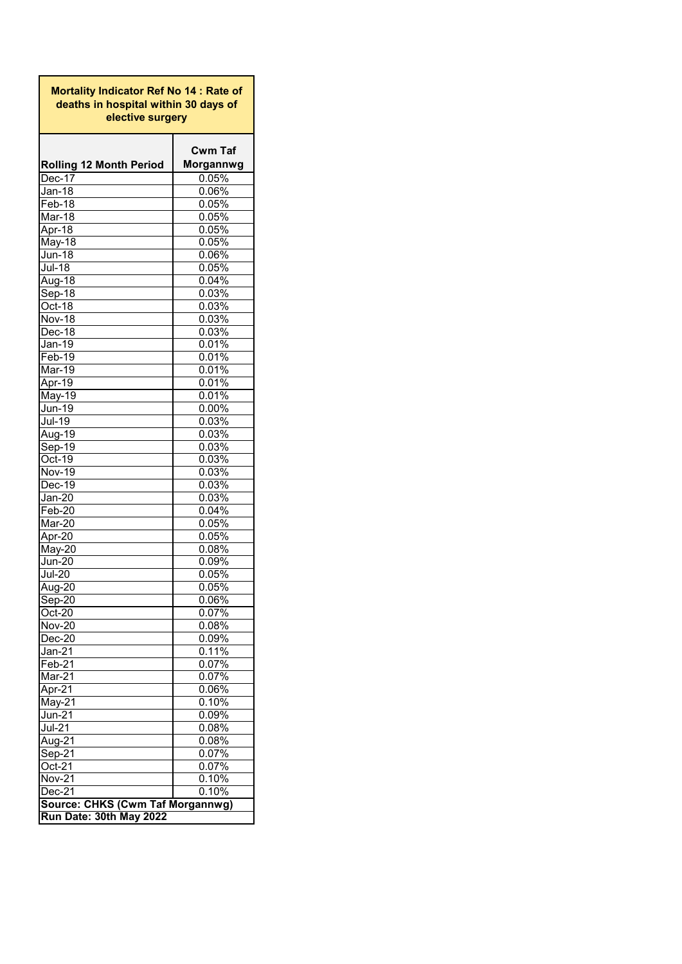<span id="page-10-0"></span>**Rolling 12 Month Period Cwm Taf Morgannwg** Dec-17 0.05% Jan-18 0.06% Feb-18 0.05% Mar-18 0.05% Apr-18 0.05% May-18 0.05% Jun-18 0.06%  $\frac{0.05\%}{0.04\%}$ Aug-18 0.04%<br>Sep-18 0.03% Sep-18 0.03%<br>
Oct-18 0.03% Oct-18<br>Nov-18 Nov-18 0.03%<br>Dec-18 0.03% Dec-18 0.03%<br>Jan-19 0.01%  $\frac{0.01\%}{0.01\%}$ Feb-19 0.01%<br>Mar-19 0.01% Mar-19 0.01%<br>Apr-19 0.01% Apr-19 0.01%<br>May-19 0.01% May-19 0.01%<br>
Jun-19 0.00%  $\overline{\frac{Jun-19}{Jul-19}}$  $\frac{0.03\%}{0.03\%}$ Aug-19 Sep-19 0.03% Oct-19 0.03% Nov-19 0.03% Dec-19 0.03% Jan-20 0.03% Feb-20 0.04% Mar-20 0.05% Apr-20 0.05% May-20 0.08% Jun-20 0.09% Jul-20 0.05% Aug-20 0.05% Sep-20 0.06%<br>Oct-20 0.07%  $0.07%$ Nov-20 0.08% Dec-20 0.09% Jan-21 0.11%<br>
Feb-21 0.07%  $Feb-21$ Mar-21 0.07% Apr-21 0.06% May-21 0.10% Jun-21 0.09% 0.08% Aug-21 0.08%<br>
Sep-21 0.07%  $Sep-21$ Oct-21 0.07% Nov-21 0.10% Dec-21 0.10% **Mortality Indicator Ref No 14 : Rate of deaths in hospital within 30 days of elective surgery Source: CHKS (Cwm Taf Morgannwg) Run Date: 30th May 2022**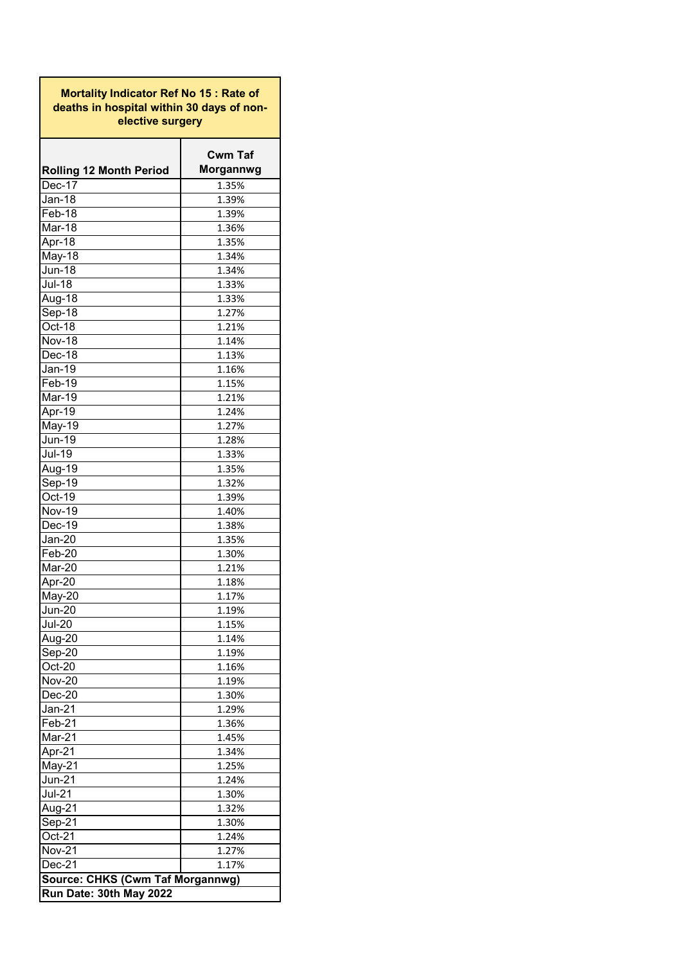<span id="page-11-0"></span>**Mortality Indicator Ref No 15 : Rate of deaths in hospital within 30 days of nonelective surgery**

|                                  | <b>Cwm Taf</b> |
|----------------------------------|----------------|
| <b>Rolling 12 Month Period</b>   | Morgannwg      |
| Dec-17                           | 1.35%          |
| <b>Jan-18</b>                    | 1.39%          |
| Feb-18                           | 1.39%          |
| Mar-18                           | 1.36%          |
| Apr-18                           | 1.35%          |
| May-18                           | 1.34%          |
| <b>Jun-18</b>                    | 1.34%          |
| <b>Jul-18</b>                    | 1.33%          |
| Aug-18                           | 1.33%          |
| Sep-18                           | 1.27%          |
| Oct-18                           | 1.21%          |
| <b>Nov-18</b>                    | 1.14%          |
| Dec-18                           | 1.13%          |
| <b>Jan-19</b>                    | 1.16%          |
| Feb-19                           | 1.15%          |
| Mar-19                           | 1.21%          |
| Apr-19                           | 1.24%          |
| May-19                           | 1.27%          |
| Jun-19                           | 1.28%          |
| <b>Jul-19</b>                    | 1.33%          |
| Aug-19                           | 1.35%          |
| Sep-19                           | 1.32%          |
| Oct-19                           | 1.39%          |
| <b>Nov-19</b>                    | 1.40%          |
| Dec-19                           | 1.38%          |
| $Jan-20$                         | 1.35%          |
| Feb-20                           | 1.30%          |
| Mar-20                           | 1.21%          |
| Apr-20                           | 1.18%          |
| May-20                           | 1.17%          |
| <b>Jun-20</b>                    | 1.19%          |
| <b>Jul-20</b>                    | 1.15%          |
| Aug-20                           | 1.14%          |
| Sep-20                           | 1.19%          |
| Oct-20                           | 1.16%          |
| <b>Nov-20</b>                    | 1.19%          |
| $Dec-20$                         | 1.30%          |
| $Jan-21$                         | 1.29%          |
| Feb-21                           | 1.36%          |
| Mar-21                           | 1.45%          |
| Apr-21                           | 1.34%          |
| May-21                           | 1.25%          |
| $Jun-21$                         | 1.24%          |
| $Jul-21$                         | 1.30%          |
| Aug- $2\overline{1}$             | 1.32%          |
| Sep-21                           | 1.30%          |
| Oct-21                           | 1.24%          |
| <b>Nov-21</b>                    | 1.27%          |
| Dec-21                           | 1.17%          |
| Source: CHKS (Cwm Taf Morgannwg) |                |
| Run Date: 30th May 2022          |                |
|                                  |                |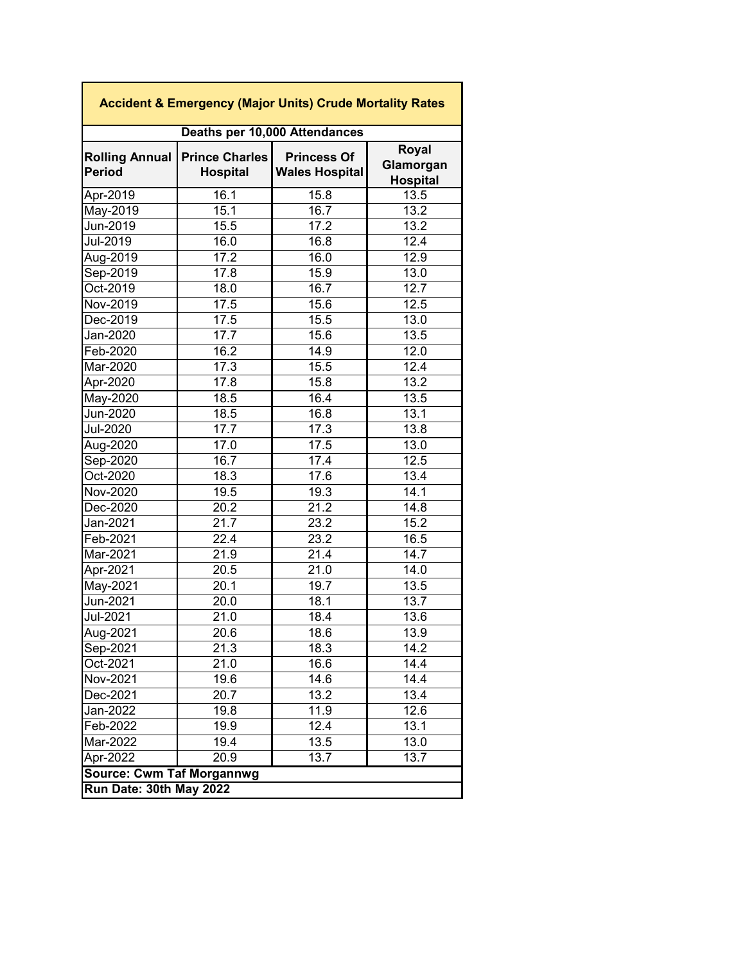| <b>Accident &amp; Emergency (Major Units) Crude Mortality Rates</b> |                                          |                                             |                                              |  |  |  |  |  |
|---------------------------------------------------------------------|------------------------------------------|---------------------------------------------|----------------------------------------------|--|--|--|--|--|
| Deaths per 10,000 Attendances                                       |                                          |                                             |                                              |  |  |  |  |  |
| <b>Rolling Annual</b><br><b>Period</b>                              | <b>Prince Charles</b><br><b>Hospital</b> | <b>Princess Of</b><br><b>Wales Hospital</b> | <b>Royal</b><br>Glamorgan<br><b>Hospital</b> |  |  |  |  |  |
| Apr-2019                                                            | 16.1                                     | 15.8                                        | 13.5                                         |  |  |  |  |  |
| May-2019                                                            | 15.1                                     | 16.7                                        | 13.2                                         |  |  |  |  |  |
| Jun-2019                                                            | 15.5                                     | 17.2                                        | 13.2                                         |  |  |  |  |  |
| <b>Jul-2019</b>                                                     | 16.0                                     | 16.8                                        | 12.4                                         |  |  |  |  |  |
| Aug-2019                                                            | 17.2                                     | 16.0                                        | 12.9                                         |  |  |  |  |  |
| Sep-2019                                                            | 17.8                                     | 15.9                                        | 13.0                                         |  |  |  |  |  |
| Oct-2019                                                            | 18.0                                     | 16.7                                        | 12.7                                         |  |  |  |  |  |
| <b>Nov-2019</b>                                                     | 17.5                                     | 15.6                                        | 12.5                                         |  |  |  |  |  |
| Dec-2019                                                            | 17.5                                     | 15.5                                        | 13.0                                         |  |  |  |  |  |
| Jan-2020                                                            | 17.7                                     | 15.6                                        | 13.5                                         |  |  |  |  |  |
| Feb-2020                                                            | 16.2                                     | 14.9                                        | 12.0                                         |  |  |  |  |  |
| Mar-2020                                                            | 17.3                                     | 15.5                                        | 12.4                                         |  |  |  |  |  |
| Apr-2020                                                            | 17.8                                     | 15.8                                        | 13.2                                         |  |  |  |  |  |
| May-2020                                                            | 18.5                                     | 16.4                                        | 13.5                                         |  |  |  |  |  |
| Jun-2020                                                            | 18.5                                     | 16.8                                        | 13.1                                         |  |  |  |  |  |
| <b>Jul-2020</b>                                                     | 17.7                                     | 17.3                                        | 13.8                                         |  |  |  |  |  |
| Aug-2020                                                            | 17.0                                     | 17.5                                        | 13.0                                         |  |  |  |  |  |
| Sep-2020                                                            | 16.7                                     | 17.4                                        | 12.5                                         |  |  |  |  |  |
| Oct-2020                                                            | 18.3                                     | 17.6                                        | 13.4                                         |  |  |  |  |  |
| Nov-2020                                                            | 19.5                                     | 19.3                                        | 14.1                                         |  |  |  |  |  |
| Dec-2020                                                            | 20.2                                     | 21.2                                        | 14.8                                         |  |  |  |  |  |
| Jan-2021                                                            | 21.7                                     | 23.2                                        | 15.2                                         |  |  |  |  |  |
| Feb-2021                                                            | 22.4                                     | 23.2                                        | 16.5                                         |  |  |  |  |  |
| Mar-2021                                                            | 21.9                                     | 21.4                                        | 14.7                                         |  |  |  |  |  |
| Apr-2021                                                            | 20.5                                     | 21.0                                        | 14.0                                         |  |  |  |  |  |
| May-2021                                                            | 20.1                                     | 19.7                                        | 13.5                                         |  |  |  |  |  |
| Jun-2021                                                            | 20.0                                     | 18.1                                        | 13.7                                         |  |  |  |  |  |
| <b>Jul-2021</b>                                                     | 21.0                                     | 18.4                                        | 13.6                                         |  |  |  |  |  |
| Aug-2021                                                            | 20.6                                     | 18.6                                        | 13.9                                         |  |  |  |  |  |
| Sep-2021                                                            | 21.3                                     | 18.3                                        | 14.2                                         |  |  |  |  |  |
| Oct-2021                                                            | 21.0                                     | 16.6                                        | 14.4                                         |  |  |  |  |  |
| Nov-2021                                                            | 19.6                                     | 14.6                                        | 14.4                                         |  |  |  |  |  |
| Dec-2021                                                            | 20.7                                     | 13.2                                        | 13.4                                         |  |  |  |  |  |
| Jan-2022                                                            | 19.8                                     | 11.9                                        | 12.6                                         |  |  |  |  |  |
| Feb-2022                                                            | 19.9                                     | 12.4                                        | 13.1                                         |  |  |  |  |  |
| Mar-2022                                                            | 19.4                                     | 13.5                                        | 13.0                                         |  |  |  |  |  |
| Apr-2022                                                            | 20.9                                     | 13.7                                        | 13.7                                         |  |  |  |  |  |
| <b>Source: Cwm Taf Morgannwg</b>                                    |                                          |                                             |                                              |  |  |  |  |  |
| Run Date: 30th May 2022                                             |                                          |                                             |                                              |  |  |  |  |  |

٦

<span id="page-12-0"></span>Г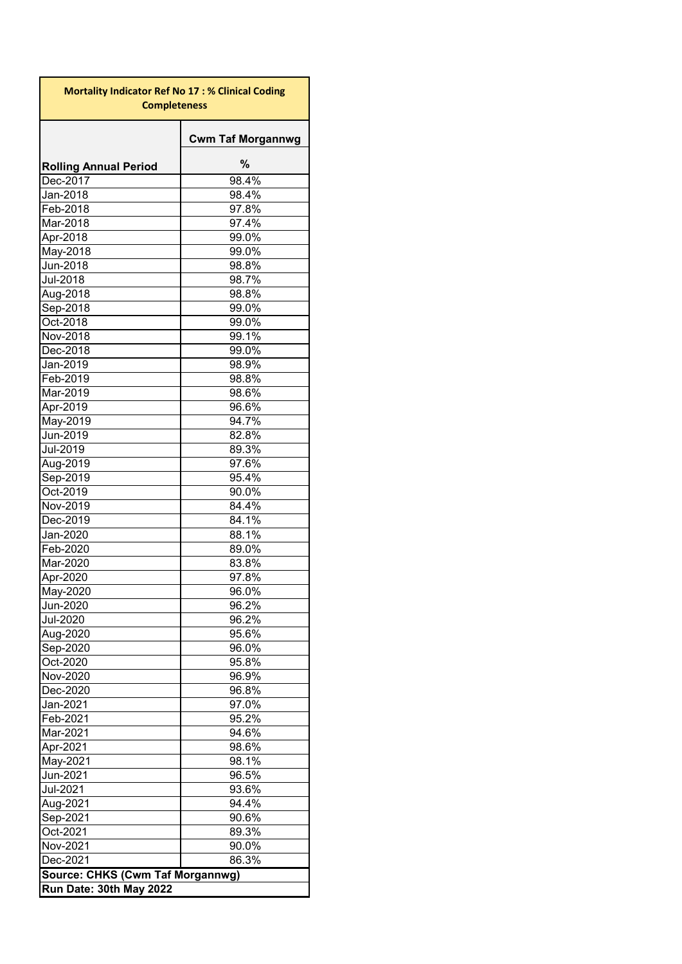<span id="page-13-0"></span>

| <b>Mortality Indicator Ref No 17: % Clinical Coding</b><br><b>Completeness</b> |                          |  |  |  |  |  |  |
|--------------------------------------------------------------------------------|--------------------------|--|--|--|--|--|--|
|                                                                                | <b>Cwm Taf Morgannwg</b> |  |  |  |  |  |  |
| <b>Rolling Annual Period</b>                                                   | $\%$                     |  |  |  |  |  |  |
| Dec-2017                                                                       | 98.4%                    |  |  |  |  |  |  |
| Jan-2018                                                                       | 98.4%                    |  |  |  |  |  |  |
| Feb-2018                                                                       | 97.8%                    |  |  |  |  |  |  |
| Mar-2018                                                                       | 97.4%                    |  |  |  |  |  |  |
| Apr-2018                                                                       | 99.0%                    |  |  |  |  |  |  |
| May-2018                                                                       | 99.0%                    |  |  |  |  |  |  |
| Jun-2018                                                                       | 98.8%                    |  |  |  |  |  |  |
| <b>Jul-2018</b>                                                                | 98.7%                    |  |  |  |  |  |  |
| Aug-2018                                                                       | 98.8%                    |  |  |  |  |  |  |
| Sep-2018                                                                       | 99.0%                    |  |  |  |  |  |  |
| Oct-2018                                                                       | 99.0%                    |  |  |  |  |  |  |
| Nov-2018                                                                       | 99.1%                    |  |  |  |  |  |  |
| Dec-2018                                                                       | 99.0%                    |  |  |  |  |  |  |
| Jan-2019                                                                       | 98.9%                    |  |  |  |  |  |  |
| Feb-2019                                                                       | 98.8%                    |  |  |  |  |  |  |
| Mar-2019                                                                       | 98.6%                    |  |  |  |  |  |  |
| Apr-2019                                                                       | 96.6%                    |  |  |  |  |  |  |
| May-2019                                                                       | 94.7%                    |  |  |  |  |  |  |
| Jun-2019                                                                       | 82.8%                    |  |  |  |  |  |  |
| Jul-2019                                                                       | 89.3%                    |  |  |  |  |  |  |
| Aug-2019                                                                       | 97.6%                    |  |  |  |  |  |  |
| Sep-2019                                                                       | 95.4%                    |  |  |  |  |  |  |
| Oct-2019                                                                       | 90.0%                    |  |  |  |  |  |  |
| Nov-2019                                                                       | 84.4%                    |  |  |  |  |  |  |
| Dec-2019                                                                       | 84.1%                    |  |  |  |  |  |  |
| Jan-2020                                                                       | 88.1%                    |  |  |  |  |  |  |
| Feb-2020                                                                       | 89.0%                    |  |  |  |  |  |  |
| Mar-2020                                                                       | 83.8%                    |  |  |  |  |  |  |
| Apr-2020                                                                       | 97.8%                    |  |  |  |  |  |  |
| May-2020                                                                       | $96.0\%$                 |  |  |  |  |  |  |
| Jun-2020                                                                       | 96.2%                    |  |  |  |  |  |  |
| Jul-2020                                                                       | 96.2%                    |  |  |  |  |  |  |
| Aug-2020                                                                       | 95.6%                    |  |  |  |  |  |  |
| Sep-2020                                                                       | 96.0%                    |  |  |  |  |  |  |
| Oct-2020                                                                       | 95.8%<br>96.9%           |  |  |  |  |  |  |
| Nov-2020<br>Dec-2020                                                           |                          |  |  |  |  |  |  |
| Jan-2021                                                                       | 96.8%<br>97.0%           |  |  |  |  |  |  |
| Feb-2021                                                                       | 95.2%                    |  |  |  |  |  |  |
| Mar-2021                                                                       | 94.6%                    |  |  |  |  |  |  |
| Apr-2021                                                                       | 98.6%                    |  |  |  |  |  |  |
| May-2021                                                                       | 98.1%                    |  |  |  |  |  |  |
| Jun-2021                                                                       | 96.5%                    |  |  |  |  |  |  |
| Jul-2021                                                                       | 93.6%                    |  |  |  |  |  |  |
| Aug-2021                                                                       | 94.4%                    |  |  |  |  |  |  |
| Sep-2021                                                                       | 90.6%                    |  |  |  |  |  |  |
| Oct-2021                                                                       | 89.3%                    |  |  |  |  |  |  |
| Nov-2021                                                                       | 90.0%                    |  |  |  |  |  |  |
| Dec-2021                                                                       | 86.3%                    |  |  |  |  |  |  |
| Source: CHKS (Cwm Taf Morgannwg)                                               |                          |  |  |  |  |  |  |
| Run Date: 30th May 2022                                                        |                          |  |  |  |  |  |  |
|                                                                                |                          |  |  |  |  |  |  |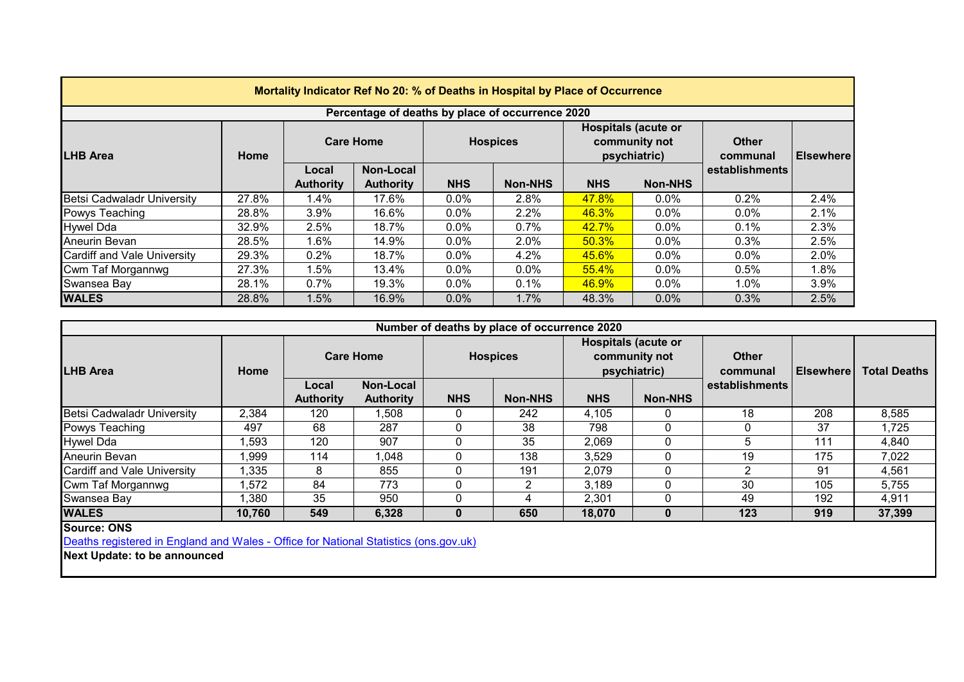<span id="page-14-0"></span>

| Mortality Indicator Ref No 20: % of Deaths in Hospital by Place of Occurrence |       |                    |                  |                 |                |                                                             |                |                          |                  |  |
|-------------------------------------------------------------------------------|-------|--------------------|------------------|-----------------|----------------|-------------------------------------------------------------|----------------|--------------------------|------------------|--|
| Percentage of deaths by place of occurrence 2020                              |       |                    |                  |                 |                |                                                             |                |                          |                  |  |
| <b>LHB Area</b>                                                               | Home  | <b>Care Home</b>   |                  | <b>Hospices</b> |                | <b>Hospitals (acute or</b><br>community not<br>psychiatric) |                | <b>Other</b><br>communal | <b>Elsewhere</b> |  |
|                                                                               |       | Non-Local<br>Local |                  |                 |                |                                                             |                | establishments           |                  |  |
|                                                                               |       | <b>Authority</b>   | <b>Authority</b> | <b>NHS</b>      | <b>Non-NHS</b> | <b>NHS</b>                                                  | <b>Non-NHS</b> |                          |                  |  |
| <b>Betsi Cadwaladr University</b>                                             | 27.8% | 1.4%               | 17.6%            | $0.0\%$         | 2.8%           | 47.8%                                                       | $0.0\%$        | 0.2%                     | 2.4%             |  |
| Powys Teaching                                                                | 28.8% | 3.9%               | 16.6%            | $0.0\%$         | 2.2%           | 46.3%                                                       | $0.0\%$        | $0.0\%$                  | 2.1%             |  |
| Hywel Dda                                                                     | 32.9% | 2.5%               | 18.7%            | $0.0\%$         | $0.7\%$        | 42.7%                                                       | $0.0\%$        | 0.1%                     | 2.3%             |  |
| <b>Aneurin Bevan</b>                                                          | 28.5% | 1.6%               | 14.9%            | $0.0\%$         | 2.0%           | 50.3%                                                       | $0.0\%$        | 0.3%                     | 2.5%             |  |
| Cardiff and Vale University                                                   | 29.3% | 0.2%               | 18.7%            | $0.0\%$         | 4.2%           | 45.6%                                                       | $0.0\%$        | $0.0\%$                  | 2.0%             |  |
| Cwm Taf Morgannwg                                                             | 27.3% | 1.5%               | 13.4%            | $0.0\%$         | $0.0\%$        | 55.4%                                                       | $0.0\%$        | 0.5%                     | 1.8%             |  |
| Swansea Bay                                                                   | 28.1% | $0.7\%$            | 19.3%            | $0.0\%$         | $0.1\%$        | <b>46.9%</b>                                                | $0.0\%$        | $1.0\%$                  | 3.9%             |  |
| <b>WALES</b>                                                                  | 28.8% | 1.5%               | 16.9%            | $0.0\%$         | 1.7%           | 48.3%                                                       | $0.0\%$        | 0.3%                     | 2.5%             |  |

| Number of deaths by place of occurrence 2020 |        |                           |                               |                 |                |                                                             |                |                          |                  |                     |
|----------------------------------------------|--------|---------------------------|-------------------------------|-----------------|----------------|-------------------------------------------------------------|----------------|--------------------------|------------------|---------------------|
| <b>LHB Area</b>                              | Home   | <b>Care Home</b>          |                               | <b>Hospices</b> |                | <b>Hospitals (acute or</b><br>community not<br>psychiatric) |                | <b>Other</b><br>communal | <b>Elsewhere</b> | <b>Total Deaths</b> |
|                                              |        | Local<br><b>Authority</b> | Non-Local<br><b>Authority</b> | <b>NHS</b>      | <b>Non-NHS</b> | <b>NHS</b>                                                  | <b>Non-NHS</b> | establishments           |                  |                     |
| <b>Betsi Cadwaladr University</b>            | 2,384  | 120                       | ,508                          |                 | 242            | 4,105                                                       |                | 18                       | 208              | 8,585               |
| Powys Teaching                               | 497    | 68                        | 287                           |                 | 38             | 798                                                         |                |                          | 37               | 1,725               |
| <b>Hywel Dda</b>                             | ,593   | 120                       | 907                           |                 | 35             | 2,069                                                       | 0              | 5                        | 111              | 4,840               |
| Aneurin Bevan                                | .999   | 114                       | 1,048                         |                 | 138            | 3,529                                                       | O              | 19                       | 175              | 7,022               |
| Cardiff and Vale University                  | 1,335  | 8                         | 855                           |                 | 191            | 2,079                                                       | $\Omega$       | າ                        | 91               | 4,561               |
| Cwm Taf Morgannwg                            | ,572   | 84                        | 773                           |                 |                | 3,189                                                       | 0              | 30                       | 105              | 5,755               |
| Swansea Bay                                  | ,380   | 35                        | 950                           |                 |                | 2,301                                                       | <sup>0</sup>   | 49                       | 192              | 4,911               |
| <b>WALES</b>                                 | 10,760 | 549                       | 6,328                         |                 | 650            | 18,070                                                      | 0              | 123                      | 919              | 37,399              |

**Source: ONS**

[Deaths registered in England and Wales - Office for National Statistics \(ons.gov.uk\)](https://www.ons.gov.uk/peoplepopulationandcommunity/birthsdeathsandmarriages/deaths/datasets/deathsregisteredinenglandandwalesseriesdrreferencetables)

**Next Update: to be announced**